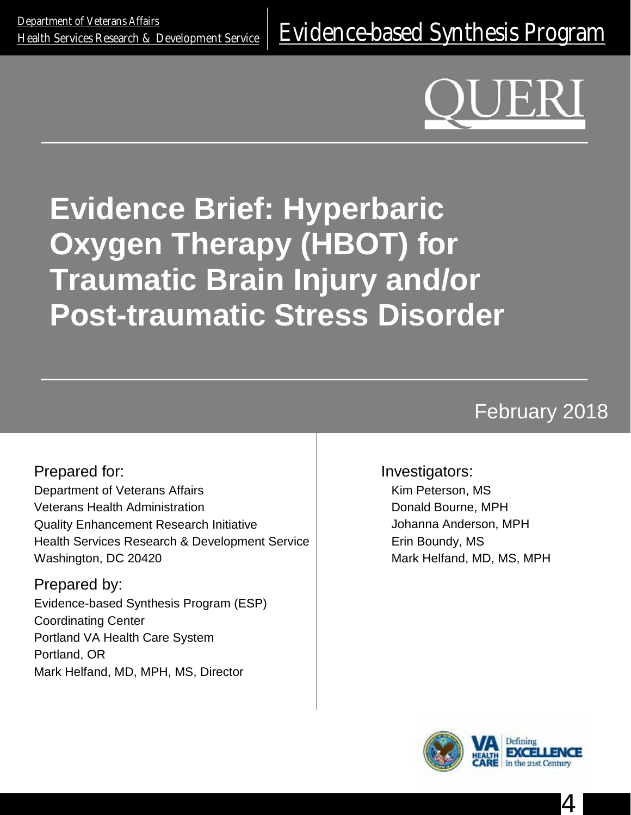<u>[Health Services Research & Development Service](http://www.hsrd.research.va.gov/)</u> | [Evidence-based Synthesis Program](http://www.hsrd.research.va.gov/publications/esp/)

# **Evidence Brief: Hyperbaric Oxygen Therapy (HBOT) for Traumatic Brain Injury and/or Post-traumatic Stress Disorder**

## February 2018

Prepared for: Department of Veterans Affairs Veterans Health Administration Quality Enhancement Research Initiative Health Services Research & Development Service Washington, DC 20420

Prepared by: Evidence-based Synthesis Program (ESP) Coordinating Center Portland VA Health Care System Portland, OR Mark Helfand, MD, MPH, MS, Director

Investigators:

Kim Peterson, MS Donald Bourne, MPH Johanna Anderson, MPH Erin Boundy, MS Mark Helfand, MD, MS, MPH



4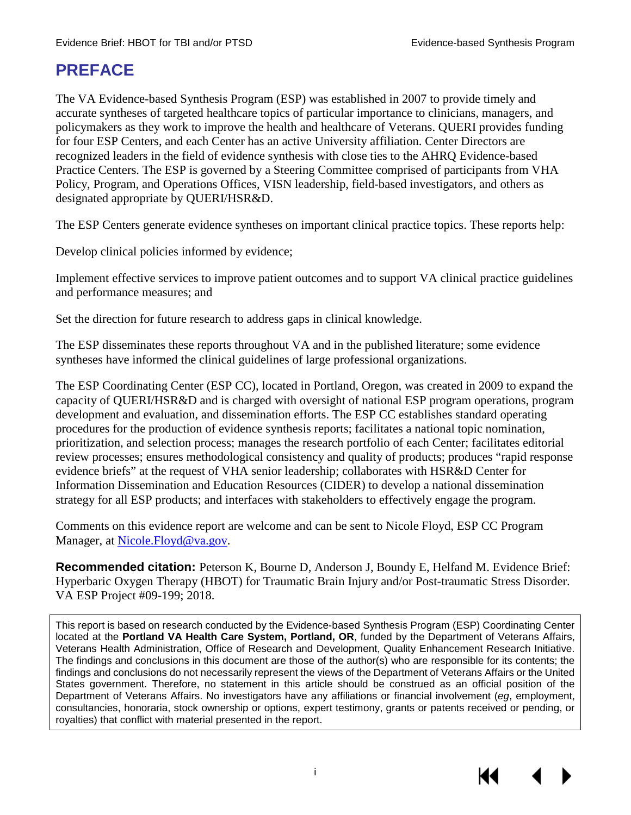### <span id="page-1-0"></span>**PREFACE**

The VA Evidence-based Synthesis Program (ESP) was established in 2007 to provide timely and accurate syntheses of targeted healthcare topics of particular importance to clinicians, managers, and policymakers as they work to improve the health and healthcare of Veterans. QUERI provides funding for four ESP Centers, and each Center has an active University affiliation. Center Directors are recognized leaders in the field of evidence synthesis with close ties to the AHRQ Evidence-based Practice Centers. The ESP is governed by a Steering Committee comprised of participants from VHA Policy, Program, and Operations Offices, VISN leadership, field-based investigators, and others as designated appropriate by QUERI/HSR&D.

The ESP Centers generate evidence syntheses on important clinical practice topics. These reports help:

Develop clinical policies informed by evidence;

Implement effective services to improve patient outcomes and to support VA clinical practice guidelines and performance measures; and

Set the direction for future research to address gaps in clinical knowledge.

The ESP disseminates these reports throughout VA and in the published literature; some evidence syntheses have informed the clinical guidelines of large professional organizations.

The ESP Coordinating Center (ESP CC), located in Portland, Oregon, was created in 2009 to expand the capacity of QUERI/HSR&D and is charged with oversight of national ESP program operations, program development and evaluation, and dissemination efforts. The ESP CC establishes standard operating procedures for the production of evidence synthesis reports; facilitates a national topic nomination, prioritization, and selection process; manages the research portfolio of each Center; facilitates editorial review processes; ensures methodological consistency and quality of products; produces "rapid response evidence briefs" at the request of VHA senior leadership; collaborates with HSR&D Center for Information Dissemination and Education Resources (CIDER) to develop a national dissemination strategy for all ESP products; and interfaces with stakeholders to effectively engage the program.

Comments on this evidence report are welcome and can be sent to Nicole Floyd, ESP CC Program Manager, at Nicole. Floyd@va.gov.

**Recommended citation:** Peterson K, Bourne D, Anderson J, Boundy E, Helfand M. Evidence Brief: Hyperbaric Oxygen Therapy (HBOT) for Traumatic Brain Injury and/or Post-traumatic Stress Disorder. VA ESP Project #09-199; 2018.

This report is based on research conducted by the Evidence-based Synthesis Program (ESP) Coordinating Center located at the **Portland VA Health Care System, Portland, OR**, funded by the Department of Veterans Affairs, Veterans Health Administration, Office of Research and Development, Quality Enhancement Research Initiative. The findings and conclusions in this document are those of the author(s) who are responsible for its contents; the findings and conclusions do not necessarily represent the views of the Department of Veterans Affairs or the United States government. Therefore, no statement in this article should be construed as an official position of the Department of Veterans Affairs. No investigators have any affiliations or financial involvement (*eg*, employment, consultancies, honoraria, stock ownership or options, expert testimony, grants or patents received or pending, or royalties) that conflict with material presented in the report.

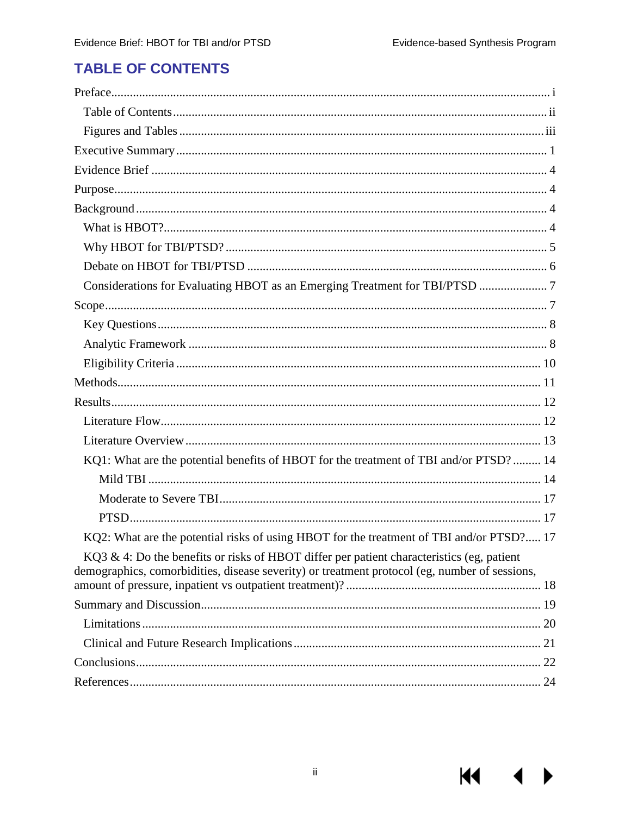$M = 4$ 

 $\blacktriangleright$ 

### <span id="page-2-0"></span>**TABLE OF CONTENTS**

| Considerations for Evaluating HBOT as an Emerging Treatment for TBI/PTSD  7                                                                                                                |  |
|--------------------------------------------------------------------------------------------------------------------------------------------------------------------------------------------|--|
|                                                                                                                                                                                            |  |
|                                                                                                                                                                                            |  |
|                                                                                                                                                                                            |  |
|                                                                                                                                                                                            |  |
|                                                                                                                                                                                            |  |
|                                                                                                                                                                                            |  |
|                                                                                                                                                                                            |  |
|                                                                                                                                                                                            |  |
| KQ1: What are the potential benefits of HBOT for the treatment of TBI and/or PTSD? 14                                                                                                      |  |
|                                                                                                                                                                                            |  |
|                                                                                                                                                                                            |  |
|                                                                                                                                                                                            |  |
| KQ2: What are the potential risks of using HBOT for the treatment of TBI and/or PTSD? 17                                                                                                   |  |
| KQ3 & 4: Do the benefits or risks of HBOT differ per patient characteristics (eg, patient<br>demographics, comorbidities, disease severity) or treatment protocol (eg, number of sessions, |  |
|                                                                                                                                                                                            |  |
|                                                                                                                                                                                            |  |
|                                                                                                                                                                                            |  |
|                                                                                                                                                                                            |  |
|                                                                                                                                                                                            |  |
|                                                                                                                                                                                            |  |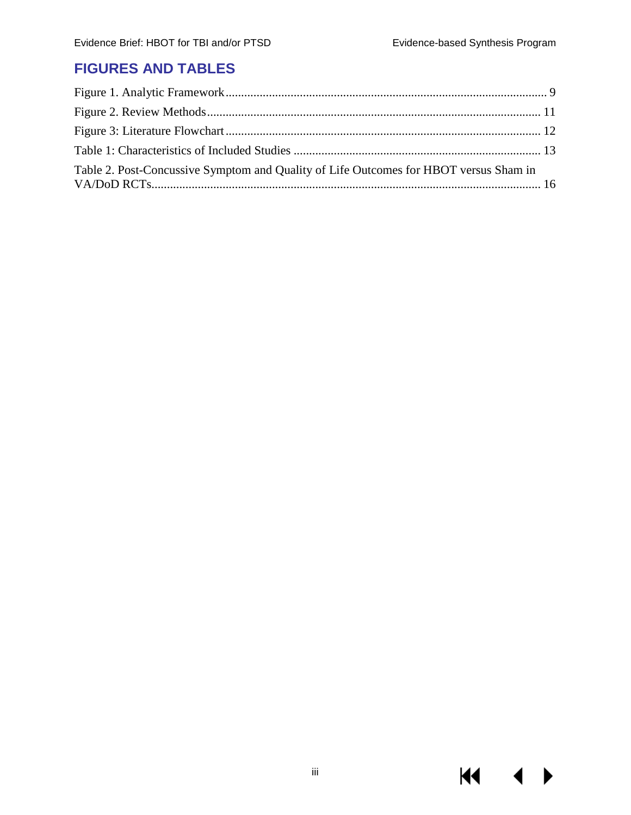$M \cdot 1$ 

 $\blacktriangleright$ 

### <span id="page-3-0"></span>**FIGURES AND TABLES**

| Table 2. Post-Concussive Symptom and Quality of Life Outcomes for HBOT versus Sham in |  |
|---------------------------------------------------------------------------------------|--|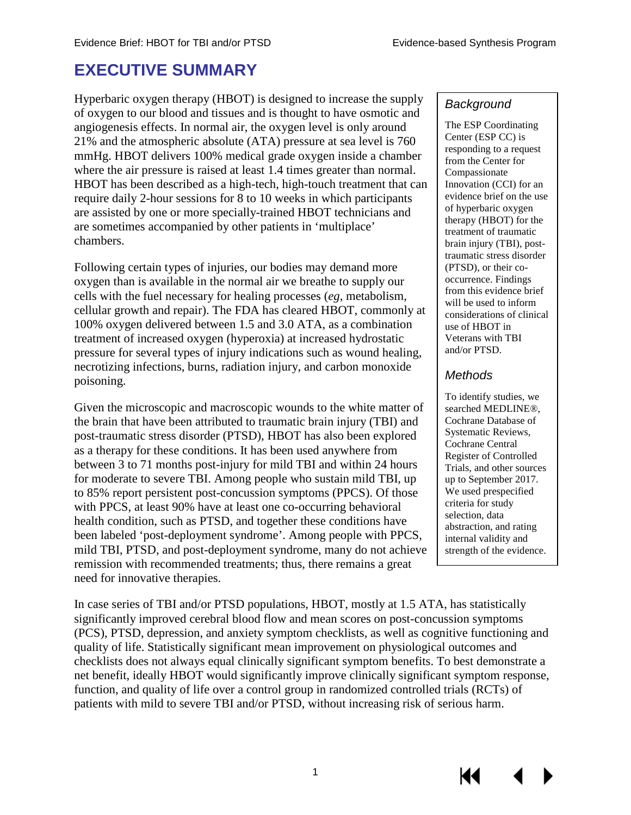### <span id="page-4-0"></span>**EXECUTIVE SUMMARY**

Hyperbaric oxygen therapy (HBOT) is designed to increase the supply of oxygen to our blood and tissues and is thought to have osmotic and angiogenesis effects. In normal air, the oxygen level is only around 21% and the atmospheric absolute (ATA) pressure at sea level is 760 mmHg. HBOT delivers 100% medical grade oxygen inside a chamber where the air pressure is raised at least 1.4 times greater than normal. HBOT has been described as a high-tech, high-touch treatment that can require daily 2-hour sessions for 8 to 10 weeks in which participants are assisted by one or more specially-trained HBOT technicians and are sometimes accompanied by other patients in 'multiplace' chambers.

Following certain types of injuries, our bodies may demand more oxygen than is available in the normal air we breathe to supply our cells with the fuel necessary for healing processes (*eg*, metabolism, cellular growth and repair). The FDA has cleared HBOT, commonly at 100% oxygen delivered between 1.5 and 3.0 ATA, as a combination treatment of increased oxygen (hyperoxia) at increased hydrostatic pressure for several types of injury indications such as wound healing, necrotizing infections, burns, radiation injury, and carbon monoxide poisoning.

Given the microscopic and macroscopic wounds to the white matter of the brain that have been attributed to traumatic brain injury (TBI) and post-traumatic stress disorder (PTSD), HBOT has also been explored as a therapy for these conditions. It has been used anywhere from between 3 to 71 months post-injury for mild TBI and within 24 hours for moderate to severe TBI. Among people who sustain mild TBI, up to 85% report persistent post-concussion symptoms (PPCS). Of those with PPCS, at least 90% have at least one co-occurring behavioral health condition, such as PTSD, and together these conditions have been labeled 'post-deployment syndrome'. Among people with PPCS, mild TBI, PTSD, and post-deployment syndrome, many do not achieve remission with recommended treatments; thus, there remains a great need for innovative therapies.

In case series of TBI and/or PTSD populations, HBOT, mostly at 1.5 ATA, has statistically significantly improved cerebral blood flow and mean scores on post-concussion symptoms (PCS), PTSD, depression, and anxiety symptom checklists, as well as cognitive functioning and quality of life. Statistically significant mean improvement on physiological outcomes and checklists does not always equal clinically significant symptom benefits. To best demonstrate a net benefit, ideally HBOT would significantly improve clinically significant symptom response, function, and quality of life over a control group in randomized controlled trials (RCTs) of patients with mild to severe TBI and/or PTSD, without increasing risk of serious harm.

#### *Background*

The ESP Coordinating Center (ESP CC) is responding to a request from the Center for Compassionate Innovation (CCI) for an evidence brief on the use of hyperbaric oxygen therapy (HBOT) for the treatment of traumatic brain injury (TBI), posttraumatic stress disorder (PTSD), or their cooccurrence. Findings from this evidence brief will be used to inform considerations of clinical use of HBOT in Veterans with TBI and/or PTSD.

#### *Methods*

To identify studies, we searched MEDLINE®, Cochrane Database of Systematic Reviews, Cochrane Central Register of Controlled Trials, and other sources up to September 2017. We used prespecified criteria for study selection, data abstraction, and rating internal validity and strength of the evidence.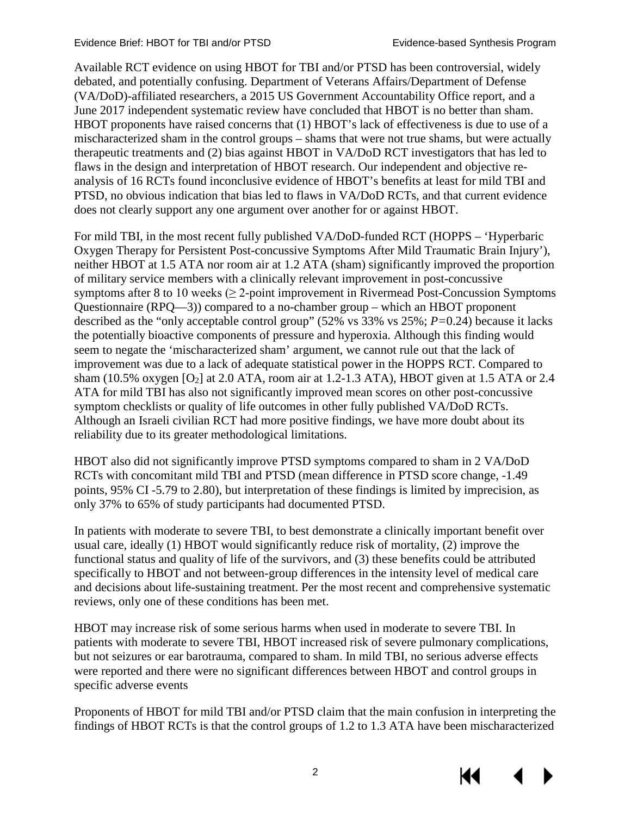Available RCT evidence on using HBOT for TBI and/or PTSD has been controversial, widely debated, and potentially confusing. Department of Veterans Affairs/Department of Defense (VA/DoD)-affiliated researchers, a 2015 US Government Accountability Office report, and a June 2017 independent systematic review have concluded that HBOT is no better than sham. HBOT proponents have raised concerns that (1) HBOT's lack of effectiveness is due to use of a mischaracterized sham in the control groups – shams that were not true shams, but were actually therapeutic treatments and (2) bias against HBOT in VA/DoD RCT investigators that has led to flaws in the design and interpretation of HBOT research. Our independent and objective reanalysis of 16 RCTs found inconclusive evidence of HBOT's benefits at least for mild TBI and PTSD, no obvious indication that bias led to flaws in VA/DoD RCTs, and that current evidence does not clearly support any one argument over another for or against HBOT.

For mild TBI, in the most recent fully published VA/DoD-funded RCT (HOPPS – 'Hyperbaric Oxygen Therapy for Persistent Post-concussive Symptoms After Mild Traumatic Brain Injury'), neither HBOT at 1.5 ATA nor room air at 1.2 ATA (sham) significantly improved the proportion of military service members with a clinically relevant improvement in post-concussive symptoms after 8 to 10 weeks  $(≥ 2$ -point improvement in Rivermead Post-Concussion Symptoms Questionnaire (RPQ—3)) compared to a no-chamber group – which an HBOT proponent described as the "only acceptable control group" (52% vs 33% vs 25%; *P=*0.24) because it lacks the potentially bioactive components of pressure and hyperoxia. Although this finding would seem to negate the 'mischaracterized sham' argument, we cannot rule out that the lack of improvement was due to a lack of adequate statistical power in the HOPPS RCT. Compared to sham (10.5% oxygen  $[O_2]$  at 2.0 ATA, room air at 1.2-1.3 ATA), HBOT given at 1.5 ATA or 2.4 ATA for mild TBI has also not significantly improved mean scores on other post-concussive symptom checklists or quality of life outcomes in other fully published VA/DoD RCTs. Although an Israeli civilian RCT had more positive findings, we have more doubt about its reliability due to its greater methodological limitations.

HBOT also did not significantly improve PTSD symptoms compared to sham in 2 VA/DoD RCTs with concomitant mild TBI and PTSD (mean difference in PTSD score change, -1.49 points, 95% CI -5.79 to 2.80), but interpretation of these findings is limited by imprecision, as only 37% to 65% of study participants had documented PTSD.

In patients with moderate to severe TBI, to best demonstrate a clinically important benefit over usual care, ideally (1) HBOT would significantly reduce risk of mortality, (2) improve the functional status and quality of life of the survivors, and (3) these benefits could be attributed specifically to HBOT and not between-group differences in the intensity level of medical care and decisions about life-sustaining treatment. Per the most recent and comprehensive systematic reviews, only one of these conditions has been met.

HBOT may increase risk of some serious harms when used in moderate to severe TBI. In patients with moderate to severe TBI, HBOT increased risk of severe pulmonary complications, but not seizures or ear barotrauma, compared to sham. In mild TBI, no serious adverse effects were reported and there were no significant differences between HBOT and control groups in specific adverse events

Proponents of HBOT for mild TBI and/or PTSD claim that the main confusion in interpreting the findings of HBOT RCTs is that the control groups of 1.2 to 1.3 ATA have been mischaracterized

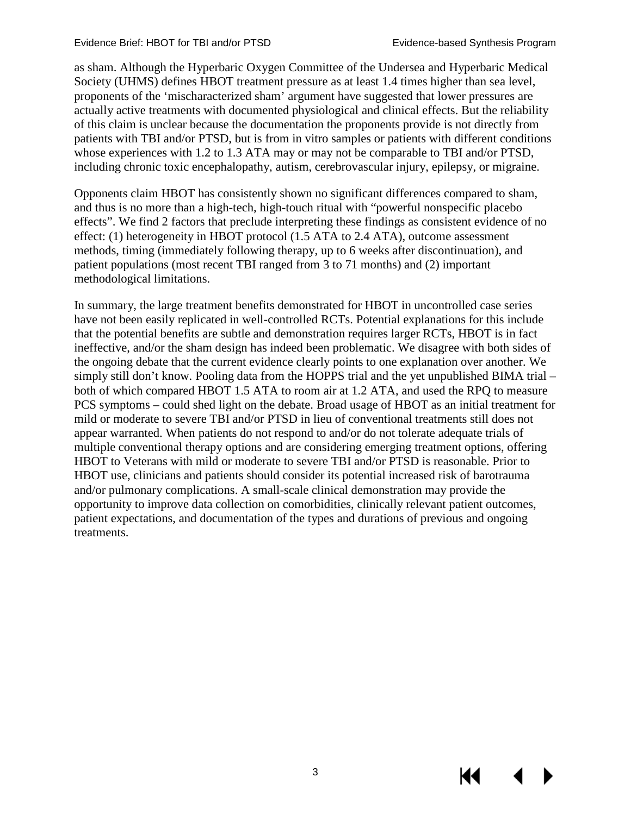as sham. Although the Hyperbaric Oxygen Committee of the Undersea and Hyperbaric Medical Society (UHMS) defines HBOT treatment pressure as at least 1.4 times higher than sea level, proponents of the 'mischaracterized sham' argument have suggested that lower pressures are actually active treatments with documented physiological and clinical effects. But the reliability of this claim is unclear because the documentation the proponents provide is not directly from patients with TBI and/or PTSD, but is from in vitro samples or patients with different conditions whose experiences with 1.2 to 1.3 ATA may or may not be comparable to TBI and/or PTSD, including chronic toxic encephalopathy, autism, cerebrovascular injury, epilepsy, or migraine.

Opponents claim HBOT has consistently shown no significant differences compared to sham, and thus is no more than a high-tech, high-touch ritual with "powerful nonspecific placebo effects". We find 2 factors that preclude interpreting these findings as consistent evidence of no effect: (1) heterogeneity in HBOT protocol (1.5 ATA to 2.4 ATA), outcome assessment methods, timing (immediately following therapy, up to 6 weeks after discontinuation), and patient populations (most recent TBI ranged from 3 to 71 months) and (2) important methodological limitations.

In summary, the large treatment benefits demonstrated for HBOT in uncontrolled case series have not been easily replicated in well-controlled RCTs. Potential explanations for this include that the potential benefits are subtle and demonstration requires larger RCTs, HBOT is in fact ineffective, and/or the sham design has indeed been problematic. We disagree with both sides of the ongoing debate that the current evidence clearly points to one explanation over another. We simply still don't know. Pooling data from the HOPPS trial and the yet unpublished BIMA trial – both of which compared HBOT 1.5 ATA to room air at 1.2 ATA, and used the RPQ to measure PCS symptoms – could shed light on the debate. Broad usage of HBOT as an initial treatment for mild or moderate to severe TBI and/or PTSD in lieu of conventional treatments still does not appear warranted. When patients do not respond to and/or do not tolerate adequate trials of multiple conventional therapy options and are considering emerging treatment options, offering HBOT to Veterans with mild or moderate to severe TBI and/or PTSD is reasonable. Prior to HBOT use, clinicians and patients should consider its potential increased risk of barotrauma and/or pulmonary complications. A small-scale clinical demonstration may provide the opportunity to improve data collection on comorbidities, clinically relevant patient outcomes, patient expectations, and documentation of the types and durations of previous and ongoing treatments.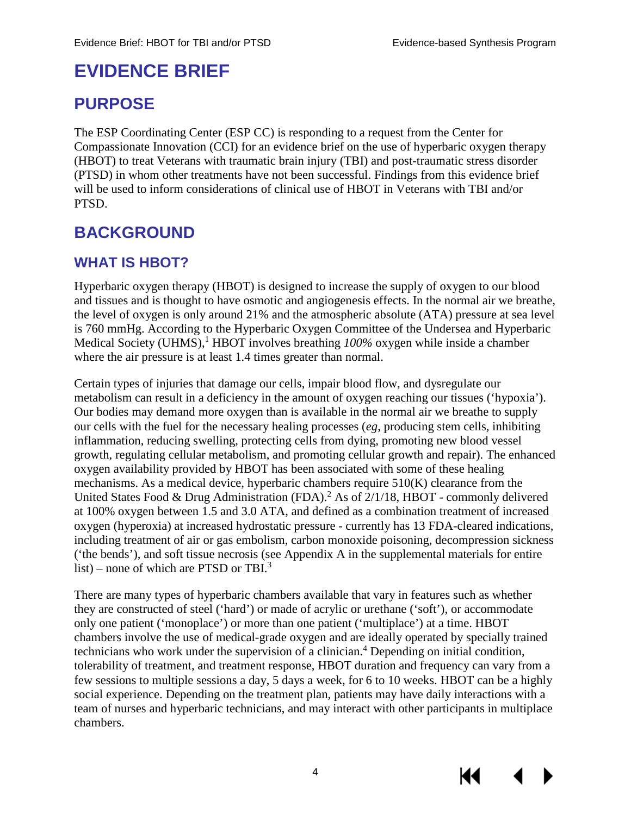### <span id="page-7-0"></span>**EVIDENCE BRIEF**

### <span id="page-7-1"></span>**PURPOSE**

The ESP Coordinating Center (ESP CC) is responding to a request from the Center for Compassionate Innovation (CCI) for an evidence brief on the use of hyperbaric oxygen therapy (HBOT) to treat Veterans with traumatic brain injury (TBI) and post-traumatic stress disorder (PTSD) in whom other treatments have not been successful. Findings from this evidence brief will be used to inform considerations of clinical use of HBOT in Veterans with TBI and/or PTSD.

### <span id="page-7-2"></span>**BACKGROUND**

### <span id="page-7-3"></span>**WHAT IS HBOT?**

Hyperbaric oxygen therapy (HBOT) is designed to increase the supply of oxygen to our blood and tissues and is thought to have osmotic and angiogenesis effects. In the normal air we breathe, the level of oxygen is only around 21% and the atmospheric absolute (ATA) pressure at sea level is 760 mmHg. According to the Hyperbaric Oxygen Committee of the Undersea and Hyperbaric Medical Society (UHMS),<sup>[1](#page-27-1)</sup> HBOT involves breathing  $100\%$  oxygen while inside a chamber where the air pressure is at least 1.4 times greater than normal.

Certain types of injuries that damage our cells, impair blood flow, and dysregulate our metabolism can result in a deficiency in the amount of oxygen reaching our tissues ('hypoxia'). Our bodies may demand more oxygen than is available in the normal air we breathe to supply our cells with the fuel for the necessary healing processes (*eg*, producing stem cells, inhibiting inflammation, reducing swelling, protecting cells from dying, promoting new blood vessel growth, regulating cellular metabolism, and promoting cellular growth and repair). The enhanced oxygen availability provided by HBOT has been associated with some of these healing mechanisms. As a medical device, hyperbaric chambers require 510(K) clearance from the United States Food & Drug Administration (FDA).<sup>2</sup> As of 2/1/18, HBOT - commonly delivered at 100% oxygen between 1.5 and 3.0 ATA, and defined as a combination treatment of increased oxygen (hyperoxia) at increased hydrostatic pressure - currently has 13 FDA-cleared indications, including treatment of air or gas embolism, carbon monoxide poisoning, decompression sickness ('the bends'), and soft tissue necrosis (see Appendix A in the supplemental materials for entire list) – none of which are PTSD or TB[I.](#page-27-1) $3$ 

There are many types of hyperbaric chambers available that vary in features such as whether they are constructed of steel ('hard') or made of acrylic or urethane ('soft'), or accommodate only one patient ('monoplace') or more than one patient ('multiplace') at a time. HBOT chambers involve the use of medical-grade oxygen and are ideally operated by specially trained technicians who work under the supervision of a clinician.<sup>4</sup> Depending on initial condition, tolerability of treatment, and treatment response, HBOT duration and frequency can vary from a few sessions to multiple sessions a day, 5 days a week, for 6 to 10 weeks. HBOT can be a highly social experience. Depending on the treatment plan, patients may have daily interactions with a team of nurses and hyperbaric technicians, and may interact with other participants in multiplace chambers.

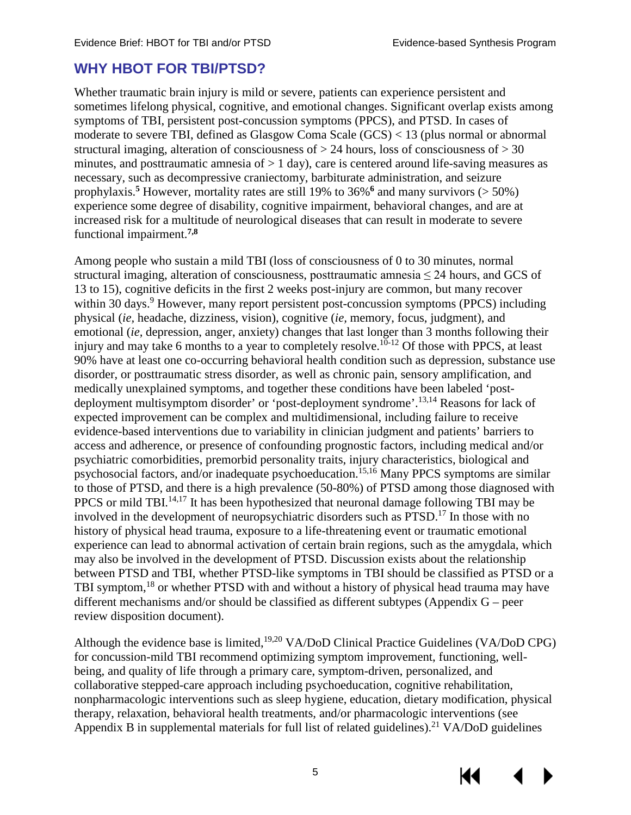### <span id="page-8-0"></span>**WHY HBOT FOR TBI/PTSD?**

Whether traumatic brain injury is mild or severe, patients can experience persistent and sometimes lifelong physical, cognitive, and emotional changes. Significant overlap exists among symptoms of TBI, persistent post-concussion symptoms (PPCS), and PTSD. In cases of moderate to severe TBI, defined as Glasgow Coma Scale (GCS) < 13 (plus normal or abnormal structural imaging, alteration of consciousness of  $> 24$  hours, loss of consciousness of  $> 30$ minutes, and posttraumatic amnesia of  $> 1$  day), care is centered around life-saving measures as necessary, [suc](#page-27-1)h as decompressive craniectomy, barbiturate administration, and seizure prophylaxis.**<sup>5</sup>** However, mortality rates are still 19% to 36%**<sup>6</sup>** [a](#page-27-1)nd many survivors (> 50%) experience some degree of disability, cognitive impairment, behavioral changes, and are at increased risk for a multitude of neurological diseases that can result in moderate to severe functional impairment.**[7](#page-27-2)[,8](#page-27-3)**

Among people who sustain a mild TBI (loss of consciousness of 0 to 30 minutes, normal structural imaging, alteration of consciousness, posttraumatic amnesia  $\leq$  24 hours, and GCS of 13 to 15), cognitive deficits in the first 2 weeks post-injury are common, but many recover within 30 days.<sup>9</sup> However, many report persistent post-concussion symptoms (PPCS) including physical (*ie,* headache, dizziness, vision), cognitive (*ie,* memory, focus, judgment), and emotional (*ie,* depression, anger, anxiety) changes that last longer than 3 months following their injury and may take 6 months to a year to completely resolve.<sup>10-12</sup> Of those with PPCS, at least 90% have at least one co-occurring behavioral health condition such as depression, substance use disorder, or posttraumatic stress disorder, as well as chronic pain, sensory amplification, and medically unexplained symptoms, and together these conditions have been labeled 'postdeployment multisymptom disorder' or 'post-deployment syndrome'.[13](#page-27-4)[,14](#page-27-5) Reasons for lack of expected improvement can be complex and multidimensional, including failure to receive evidence-based interventions due to variability in clinician judgment and patients' barriers to access and adherence, or presence of confounding prognostic factors, including medical and/or psychiatric comorbidities, premorbid personality traits, injury characteristics, biological and psychosocial factors, and/or inadequate psychoeducation.<sup>15[,16](#page-27-7)</sup> Many PPCS symptoms are similar to those of PTSD, and there is a high prevalence (50-80%) of PTSD among those diagnosed with PPCS or mild TBI.<sup>14,17</sup> It has been hypothesized that neuronal damage following TBI may be involved in the development of neuropsychiatric disorders such as PTSD.[17 I](#page-28-3)n those with no history of physical head trauma, exposure to a life-threatening event or traumatic emotional experience can lead to abnormal activation of certain brain regions, such as the amygdala, which may also be involved in the development of PTSD. Discussion exists about the relationship between PTSD and TBI, whether PTSD-like symptoms in TBI should be classified as PTSD or a TBI symptom[,18](#page-28-3) or whether PTSD with and without a history of physical head trauma may have different mechanisms and/or should be classified as different subtypes (Appendix G – peer review disposition document).

Although the evidence base is limited,<sup>19[,20](#page-28-2)</sup> VA/DoD Clinical Practice Guidelines (VA/DoD CPG) for concussion-mild TBI recommend optimizing symptom improvement, functioning, wellbeing, and quality of life through a primary care, symptom-driven, personalized, and collaborative stepped-care approach including psychoeducation, cognitive rehabilitation, nonpharmacologic interventions such as sleep hygiene, education, dietary modification, physical therapy, relaxation, behavioral health treatments, and/or pharmacologic interventions (see Appendix B in supplemental materials for full list of related guidelines).<sup>[21](#page-28-3)</sup> VA/DoD guidelines

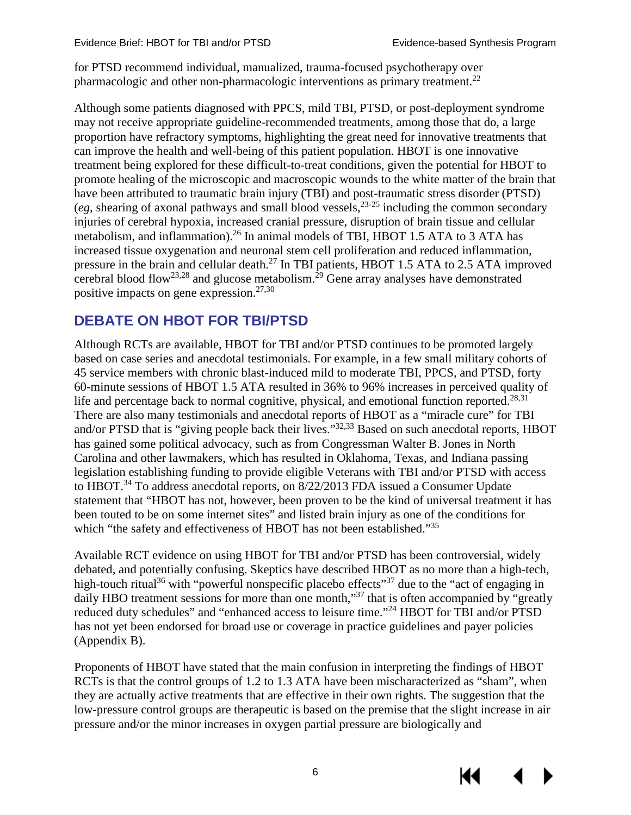for PTSD recommend individual, manualized, trauma-focused psychotherapy over pharmacologic and other non-pharmacologic interventions as primary treatment.<sup>22</sup>

Although some patients diagnosed with PPCS, mild TBI, PTSD, or post-deployment syndrome may not receive appropriate guideline-recommended treatments, among those that do, a large proportion have refractory symptoms, highlighting the great need for innovative treatments that can improve the health and well-being of this patient population. HBOT is one innovative treatment being explored for these difficult-to-treat conditions, given the potential for HBOT to promote healing of the microscopic and macroscopic wounds to the white matter of the brain that have been attributed to traumatic brain injury (TBI) and post-traumatic stress disorder (PTSD) (*eg*, shearing of axonal pathways and small blood vessels,<sup>23-25</sup> including the common secondary injuries of cerebral hypoxia, increased cranial pressure, disruption of brain tissue and cellular metabolism, and inflammation)[.26](#page-28-3) In animal models of TBI, HBOT 1.5 ATA to 3 ATA has increased tissue oxygenation and neuro[nal](#page-28-3) stem cell proliferation and reduced inflammation, pressure in the brain and cellular death.<sup>27</sup> In TBI patients, HBOT 1.5 ATA to 2.5 ATA improved cerebral blood flow<sup>23,28</sup> and glucose metabolism.<sup>29</sup> Gene array analyses have demonstrated positive impacts on gene expression. $27,30$ 

### <span id="page-9-0"></span>**DEBATE ON HBOT FOR TBI/PTSD**

Although RCTs are available, HBOT for TBI and/or PTSD continues to be promoted largely based on case series and anecdotal testimonials. For example, in a few small military cohorts of 45 service members with chronic blast-induced mild to moderate TBI, PPCS, and PTSD, forty 60-minute sessions of HBOT 1.5 ATA resulted in 36% to 96% increases in perceived quality of life and percentage back to normal cognitive, physical, and emotional function reported.<sup>[28](#page-28-5)[,31](#page-28-8)</sup> There are also many testimonials and anecdotal reports of HBOT as a "miracle cure" for TBI and/or PTSD that is "giving people back their lives.["32,](#page-28-9)[33](#page-28-10) Based on such anecdotal reports, HBOT has gained some political advocacy, such as from Congressman Walter B. Jones in North Carolina and other lawmakers, which has resulted in Oklahoma, Texas, and Indiana passing legislation establishing funding to provide eligible Veterans with TBI and/or PTSD with access to HBOT.[34](#page-29-0) To address anecdotal reports, on 8/22/2013 FDA issued a Consumer Update statement that "HBOT has not, however, been proven to be the kind of universal treatment it has been touted to be on some internet sites" and listed brain injury as one of the conditions for which "the safety and effectiveness of HBOT has not been established."<sup>35</sup>

Available RCT evidence on using HBOT for TBI and/or PTSD has been controversial, widely debated, and potentially confusing. Skeptics have described HBOT as no more than a high-tech, high-touch ritual<sup>36</sup> with "powerful nonspecific placebo e[ffec](#page-29-0)ts"<sup>37</sup> due to the "act of engaging in daily HBO treatment sessions for more than one month,"<sup>37</sup> that is often accompanied by "greatly" reduced duty schedules" and "enhanced access to leisure time.["24](#page-28-3) HBOT for TBI and/or PTSD has not yet been endorsed for broad use or coverage in practice guidelines and payer policies (Appendix B).

Proponents of HBOT have stated that the main confusion in interpreting the findings of HBOT RCTs is that the control groups of 1.2 to 1.3 ATA have been mischaracterized as "sham", when they are actually active treatments that are effective in their own rights. The suggestion that the low-pressure control groups are therapeutic is based on the premise that the slight increase in air pressure and/or the minor increases in oxygen partial pressure are biologically and

6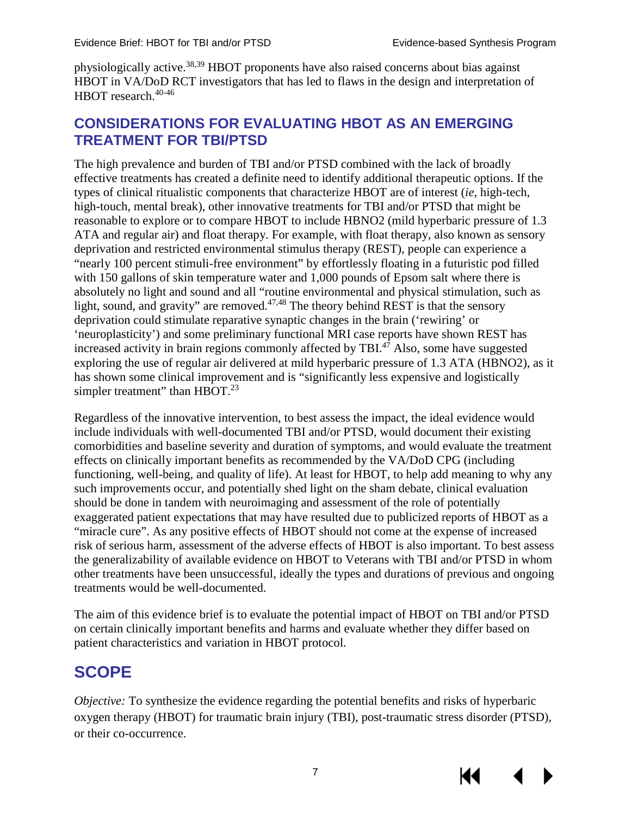physiologically active.[38,](#page-29-1)[39](#page-29-2) HBOT proponents have also raised concerns about bias against HBOT in VA/DoD RCT investigators that has led to flaws in the design and interpretation of HBOT research.<sup>40-46</sup>

### <span id="page-10-0"></span>**CONSIDERATIONS FOR EVALUATING HBOT AS AN EMERGING TREATMENT FOR TBI/PTSD**

The high prevalence and burden of TBI and/or PTSD combined with the lack of broadly effective treatments has created a definite need to identify additional therapeutic options. If the types of clinical ritualistic components that characterize HBOT are of interest (*ie*, high-tech, high-touch, mental break), other innovative treatments for TBI and/or PTSD that might be reasonable to explore or to compare HBOT to include HBNO2 (mild hyperbaric pressure of 1.3 ATA and regular air) and float therapy. For example, with float therapy, also known as sensory deprivation and restricted environmental stimulus therapy (REST), people can experience a "nearly 100 percent stimuli-free environment" by effortlessly floating in a futuristic pod filled with 150 gallons of skin temperature water and 1,000 pounds of Epsom salt where there is absolutely no light and sound and all "routine environmental and physical stimulation, such as light, sound, and gravity" are removed.<sup>47,[48](#page-29-4)</sup> The theory behind REST is that the sensory deprivation could stimulate reparative synaptic changes in the brain ('rewiring' or 'neuroplasticity') and some preliminary functional MRI case reports have shown REST has increased activity in brain regions commonly affected by TBI. $47$  Also, some have suggested exploring the use of regular air delivered at mild hyperbaric pressure of 1.3 ATA (HBNO2), as it has shown some clinical improvement and is "significantly less expensive and logistically simpler treatment" than HBOT.<sup>23</sup>

Regardless of the innovative intervention, to best assess the impact, the ideal evidence would include individuals with well-documented TBI and/or PTSD, would document their existing comorbidities and baseline severity and duration of symptoms, and would evaluate the treatment effects on clinically important benefits as recommended by the VA/DoD CPG (including functioning, well-being, and quality of life). At least for HBOT, to help add meaning to why any such improvements occur, and potentially shed light on the sham debate, clinical evaluation should be done in tandem with neuroimaging and assessment of the role of potentially exaggerated patient expectations that may have resulted due to publicized reports of HBOT as a "miracle cure". As any positive effects of HBOT should not come at the expense of increased risk of serious harm, assessment of the adverse effects of HBOT is also important. To best assess the generalizability of available evidence on HBOT to Veterans with TBI and/or PTSD in whom other treatments have been unsuccessful, ideally the types and durations of previous and ongoing treatments would be well-documented.

The aim of this evidence brief is to evaluate the potential impact of HBOT on TBI and/or PTSD on certain clinically important benefits and harms and evaluate whether they differ based on patient characteristics and variation in HBOT protocol.

### <span id="page-10-1"></span>**SCOPE**

*Objective:* To synthesize the evidence regarding the potential benefits and risks of hyperbaric oxygen therapy (HBOT) for traumatic brain injury (TBI), post-traumatic stress disorder (PTSD), or their co-occurrence.

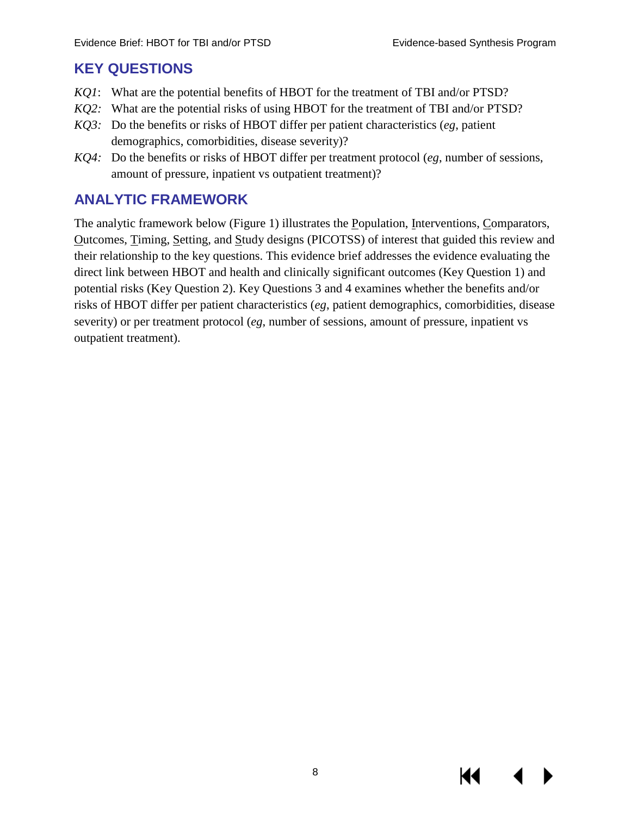К

### <span id="page-11-0"></span>**KEY QUESTIONS**

- *KQ1*: What are the potential benefits of HBOT for the treatment of TBI and/or PTSD?
- *KQ2:* What are the potential risks of using HBOT for the treatment of TBI and/or PTSD?
- *KQ3:* Do the benefits or risks of HBOT differ per patient characteristics (*eg*, patient demographics, comorbidities, disease severity)?
- *KQ4:* Do the benefits or risks of HBOT differ per treatment protocol (*eg*, number of sessions, amount of pressure, inpatient vs outpatient treatment)?

### <span id="page-11-1"></span>**ANALYTIC FRAMEWORK**

The analytic framework below (Figure 1) illustrates the Population, Interventions, Comparators, Outcomes, Timing, Setting, and Study designs (PICOTSS) of interest that guided this review and their relationship to the key questions. This evidence brief addresses the evidence evaluating the direct link between HBOT and health and clinically significant outcomes (Key Question 1) and potential risks (Key Question 2). Key Questions 3 and 4 examines whether the benefits and/or risks of HBOT differ per patient characteristics (*eg*, patient demographics, comorbidities, disease severity) or per treatment protocol (*eg*, number of sessions, amount of pressure, inpatient vs outpatient treatment).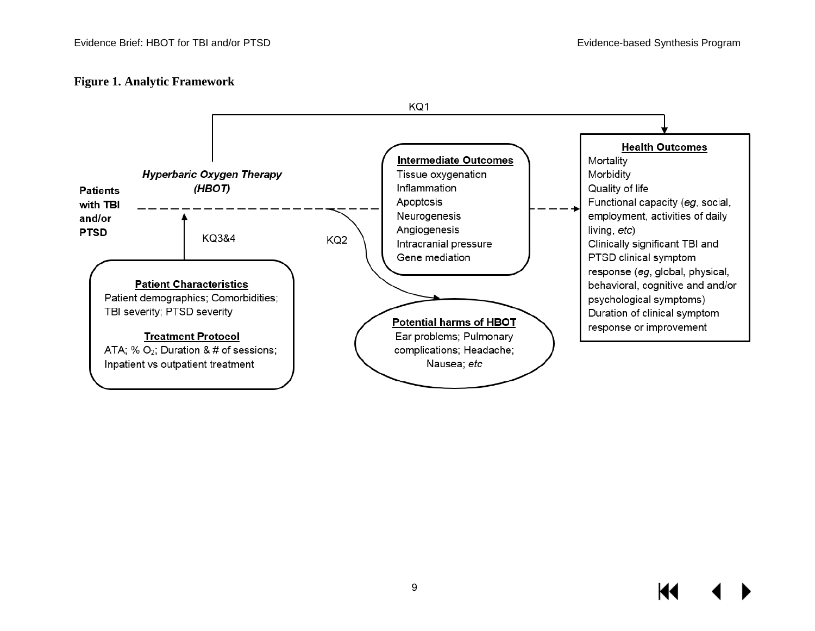#### **Figure 1. Analytic Framework**

<span id="page-12-0"></span>

KI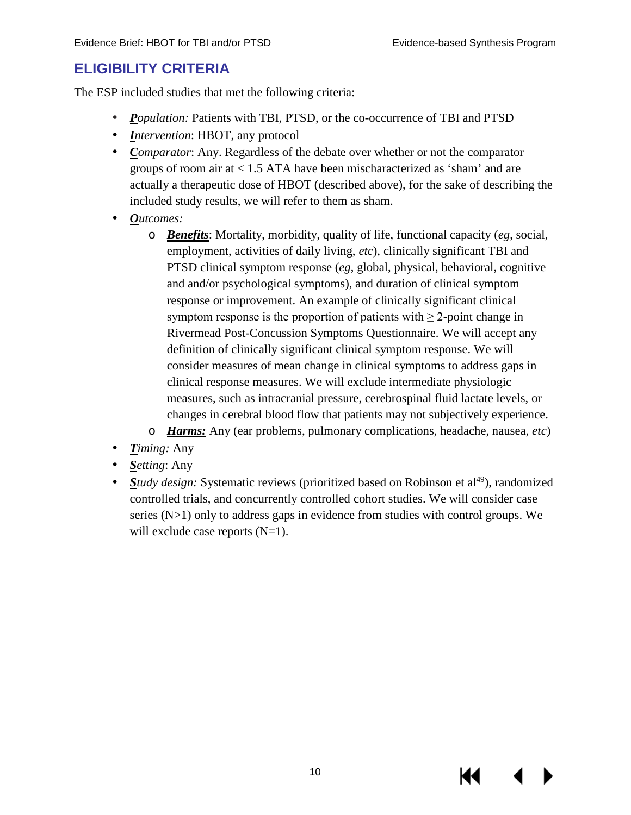### <span id="page-13-0"></span>**ELIGIBILITY CRITERIA**

The ESP included studies that met the following criteria:

- *Population:* Patients with TBI, PTSD, or the co-occurrence of TBI and PTSD
- $\mathbf{L}^{\text{max}}$ *Intervention*: HBOT, any protocol
- *Comparator*: Any. Regardless of the debate over whether or not the comparator groups of room air at < 1.5 ATA have been mischaracterized as 'sham' and are actually a therapeutic dose of HBOT (described above), for the sake of describing the included study results, we will refer to them as sham.
- *Outcomes:*
	- o *Benefits*: Mortality, morbidity, quality of life, functional capacity (*eg*, social, employment, activities of daily living, *etc*), clinically significant TBI and PTSD clinical symptom response (*eg*, global, physical, behavioral, cognitive and and/or psychological symptoms), and duration of clinical symptom response or improvement. An example of clinically significant clinical symptom response is the proportion of patients with  $\geq 2$ -point change in Rivermead Post-Concussion Symptoms Questionnaire. We will accept any definition of clinically significant clinical symptom response. We will consider measures of mean change in clinical symptoms to address gaps in clinical response measures. We will exclude intermediate physiologic measures, such as intracranial pressure, cerebrospinal fluid lactate levels, or changes in cerebral blood flow that patients may not subjectively experience.
	- o *Harms:* Any (ear problems, pulmonary complications, headache, nausea, *etc*)
- *Timing:* Any
- *Setting*: Any
- *Study design:* Systematic reviews (prioritized based on Robinson et al<sup>49</sup>), randomized controlled trials, and concurrently controlled cohort studies. We will consider case series (N>1) only to address gaps in evidence from studies with control groups. We will exclude case reports  $(N=1)$ .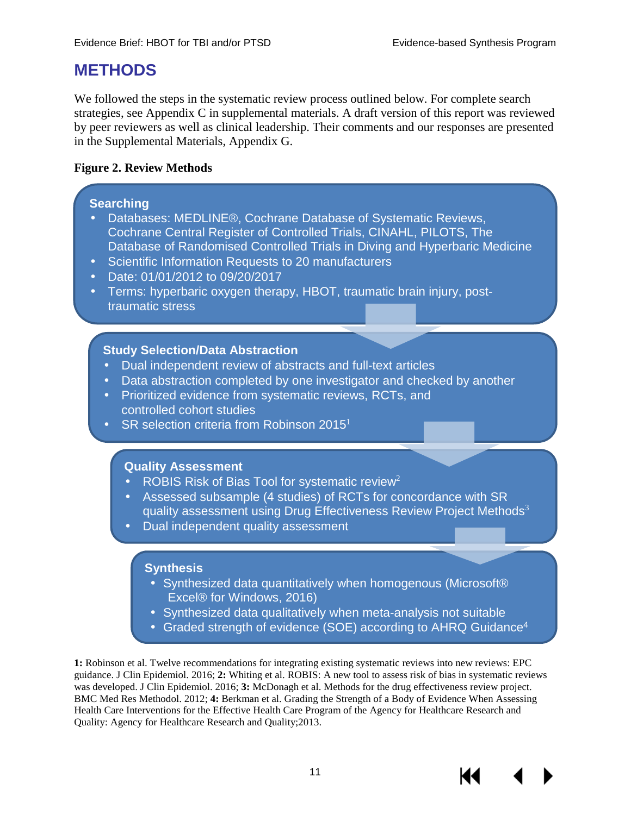### <span id="page-14-0"></span>**METHODS**

We followed the steps in the systematic review process outlined below. For complete search strategies, see Appendix C in supplemental materials. A draft version of this report was reviewed by peer reviewers as well as clinical leadership. Their comments and our responses are presented in the Supplemental Materials, Appendix G.

#### <span id="page-14-1"></span>**Figure 2. Review Methods**

#### **Searching**

- Databases: MEDLINE®, Cochrane Database of Systematic Reviews, Cochrane Central Register of Controlled Trials, CINAHL, PILOTS, The Database of Randomised Controlled Trials in Diving and Hyperbaric Medicine
- Scientific Information Requests to 20 manufacturers
- Date: 01/01/2012 to 09/20/2017
- Terms: hyperbaric oxygen therapy, HBOT, traumatic brain injury, posttraumatic stress

#### **Study Selection/Data Abstraction**

- Dual independent review of abstracts and full-text articles
- . Data abstraction completed by one investigator and checked by another
- Prioritized evidence from systematic reviews, RCTs, and controlled cohort studies
- SR selection criteria from Robinson 2015<sup>1</sup>

#### **Quality Assessment**

- ROBIS Risk of Bias Tool for systematic review<sup>2</sup>
- Assessed subsample (4 studies) of RCTs for concordance with SR quality assessment using Drug Effectiveness Review Project Methods<sup>3</sup> Dual independent quality assessment

#### **Synthesis**

- Synthesized data quantitatively when homogenous (Microsoft® Excel® for Windows, 2016)
- Synthesized data qualitatively when meta-analysis not suitable
- Graded strength of evidence (SOE) according to AHRQ Guidance4

**1:** Robinson et al. Twelve recommendations for integrating existing systematic reviews into new reviews: EPC guidance. J Clin Epidemiol. 2016; **2:** Whiting et al. ROBIS: A new tool to assess risk of bias in systematic reviews was developed. J Clin Epidemiol. 2016; **3:** McDonagh et al. Methods for the drug effectiveness review project. BMC Med Res Methodol. 2012; **4:** Berkman et al. Grading the Strength of a Body of Evidence When Assessing Health Care Interventions for the Effective Health Care Program of the Agency for Healthcare Research and Quality: Agency for Healthcare Research and Quality;2013.



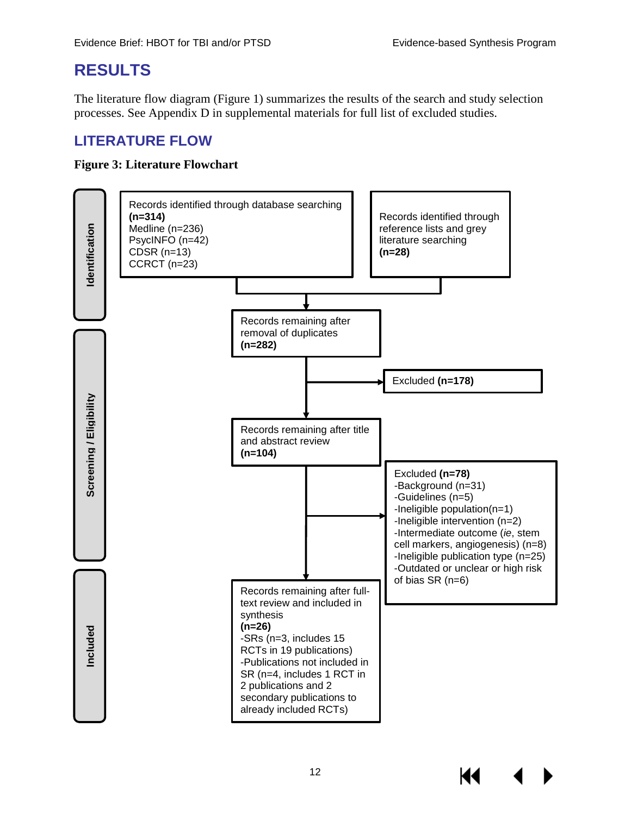### <span id="page-15-0"></span>**RESULTS**

The literature flow diagram (Figure 1) summarizes the results of the search and study selection processes. See Appendix D in supplemental materials for full list of excluded studies.

### <span id="page-15-1"></span>**LITERATURE FLOW**

#### <span id="page-15-2"></span>**Figure 3: Literature Flowchart**

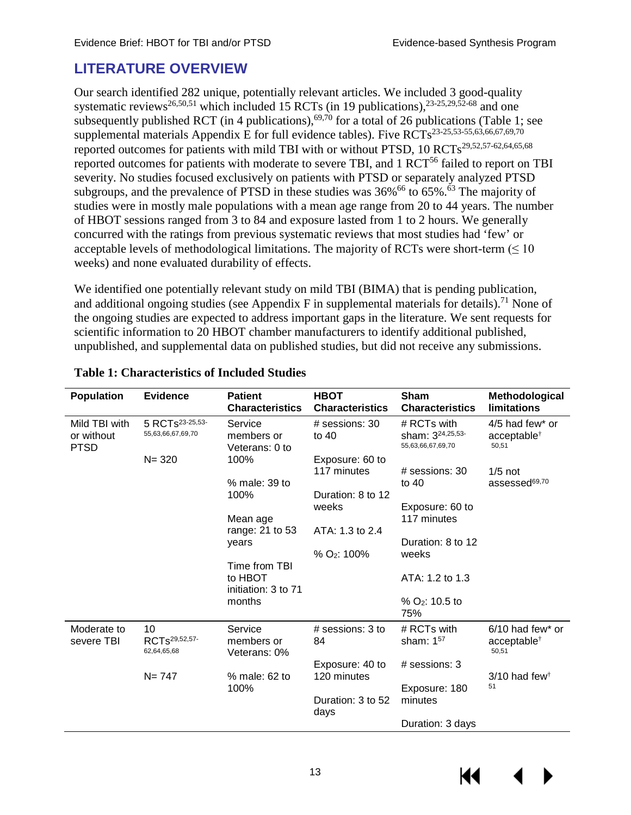### <span id="page-16-0"></span>**LITERATURE OVERVIEW**

Our search identified 282 unique, potentially relevant articles. We included 3 good-quality systematic reviews<sup>[26](#page-28-11)[,50](#page-30-1)[,51](#page-30-2)</sup> which included 15 RCTs (in 19 publications),  $^{23-25,29,52-68}$  $^{23-25,29,52-68}$  $^{23-25,29,52-68}$  $^{23-25,29,52-68}$  and one subsequently published RCT (in 4 publications),<sup>[69,](#page-31-0)[70](#page-31-1)</sup> for a total of 26 publications (Table 1; see supplemental materials Appendix E for full evidence tables). Five  $RCTs^{23-25,53-55,63,66,67,69,70}$  $RCTs^{23-25,53-55,63,66,67,69,70}$  $RCTs^{23-25,53-55,63,66,67,69,70}$  $RCTs^{23-25,53-55,63,66,67,69,70}$  $RCTs^{23-25,53-55,63,66,67,69,70}$  $RCTs^{23-25,53-55,63,66,67,69,70}$  $RCTs^{23-25,53-55,63,66,67,69,70}$  $RCTs^{23-25,53-55,63,66,67,69,70}$  $RCTs^{23-25,53-55,63,66,67,69,70}$ reported outcomes for patients with mild TBI with or without PTSD, 10 RCTs<sup>[29,](#page-28-12)[52,](#page-30-3)[57-62](#page-30-5)[,64](#page-31-5)[,65](#page-31-6)[,68](#page-31-7)</sup> reported outcomes for patients with moderate to severe TBI, and 1 RCT<sup>56</sup> failed to report on TBI severity. No studies focused exclusively on patients with PTSD or separately analyzed PTSD subgroups, and the prevalence of PTSD in these studies was  $36\%$ <sup>66</sup> to  $65\%$ <sup>63</sup>. The majority of studies were in mostly male populations with a mean age range from 20 to 44 years. The number of HBOT sessions ranged from 3 to 84 and exposure lasted from 1 to 2 hours. We generally concurred with the ratings from previous systematic reviews that most studies had 'few' or acceptable levels of methodological limitations. The majority of RCTs were short-term  $(\leq 10$ weeks) and none evaluated durability of effects.

We identified one potentially relevant study on mild TBI (BIMA) that is pending publication, and additional ongoing studies (see Appendix F in supplemental materials for details).<sup>71</sup> None of the ongoing studies are expected to address important gaps in the literature. We sent requests for scientific information to 20 HBOT chamber manufacturers to identify additional published, unpublished, and supplemental data on published studies, but did not receive any submissions.

| <b>Population</b>                          | <b>Evidence</b>                                  | <b>Patient</b><br><b>Characteristics</b>        | Sham<br><b>HBOT</b><br><b>Characteristics</b><br><b>Characteristics</b> |                                                                  | Methodological<br>limitations                          |  |
|--------------------------------------------|--------------------------------------------------|-------------------------------------------------|-------------------------------------------------------------------------|------------------------------------------------------------------|--------------------------------------------------------|--|
| Mild TBI with<br>or without<br><b>PTSD</b> | 5 RCTs <sup>23-25,53-</sup><br>55,63,66,67,69,70 | Service<br>members or<br>Veterans: 0 to         | # sessions: 30<br>to $40$                                               | # RCTs with<br>sham: 3 <sup>24,25,53-</sup><br>55,63,66,67,69,70 | 4/5 had few* or<br>acceptable <sup>†</sup><br>50,51    |  |
|                                            | $N = 320$                                        | 100%                                            | Exposure: 60 to<br>117 minutes                                          | $#$ sessions: 30                                                 | $1/5$ not                                              |  |
|                                            |                                                  | % male: 39 to                                   |                                                                         | to $40$                                                          | assessed <sup>69,70</sup>                              |  |
|                                            |                                                  | 100%                                            | Duration: 8 to 12                                                       |                                                                  |                                                        |  |
|                                            |                                                  |                                                 | weeks                                                                   | Exposure: 60 to                                                  |                                                        |  |
|                                            |                                                  | Mean age<br>range: 21 to 53                     | ATA: 1.3 to 2.4                                                         | 117 minutes                                                      |                                                        |  |
|                                            |                                                  | years                                           |                                                                         | Duration: 8 to 12                                                |                                                        |  |
|                                            |                                                  |                                                 | % O <sub>2</sub> : 100%                                                 | weeks                                                            |                                                        |  |
|                                            |                                                  | Time from TBI<br>to HBOT<br>initiation: 3 to 71 |                                                                         | ATA: 1.2 to 1.3                                                  |                                                        |  |
|                                            |                                                  | months                                          |                                                                         | $%$ O <sub>2</sub> : 10.5 to<br>75%                              |                                                        |  |
| Moderate to<br>severe TBI                  | 10<br>RCTs <sup>29,52,57-</sup><br>62,64,65,68   | Service<br>members or<br>Veterans: 0%           | $#$ sessions: 3 to<br>84                                                | # RCTs with<br>sham: 157                                         | $6/10$ had few* or<br>acceptable <sup>†</sup><br>50,51 |  |
|                                            |                                                  |                                                 | Exposure: 40 to                                                         | $#$ sessions: 3                                                  |                                                        |  |
|                                            | $N = 747$                                        | % male: 62 to                                   | 120 minutes                                                             |                                                                  | $3/10$ had few <sup><math>\dagger</math></sup>         |  |
|                                            |                                                  | 100%                                            |                                                                         | Exposure: 180                                                    | 51                                                     |  |
|                                            |                                                  |                                                 | Duration: 3 to 52<br>days                                               | minutes                                                          |                                                        |  |
|                                            |                                                  |                                                 |                                                                         | Duration: 3 days                                                 |                                                        |  |

#### <span id="page-16-1"></span>**Table 1: Characteristics of Included Studies**

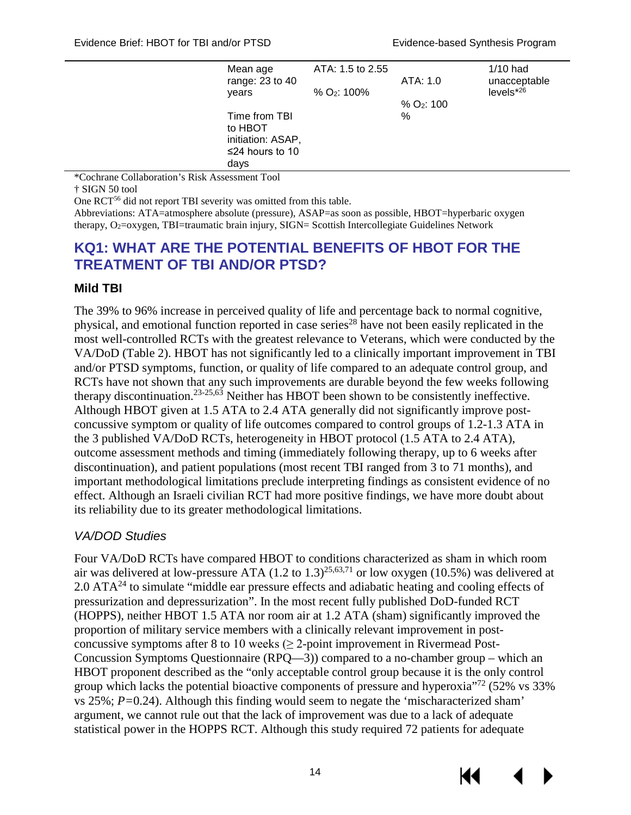| Mean age<br>range: 23 to 40<br>years                                     | ATA: 1.5 to 2.55<br>% O <sub>2</sub> : 100% | ATA: 1.0                    | 1/10 had<br>unacceptable<br>$levels*26$ |
|--------------------------------------------------------------------------|---------------------------------------------|-----------------------------|-----------------------------------------|
| Time from TBI<br>to HBOT<br>initiation: ASAP,<br>≤24 hours to 10<br>days |                                             | % O <sub>2</sub> : 100<br>% |                                         |

\*Cochrane Collaboration's Risk Assessment Tool

† SIGN 50 tool

One RC[T56](#page-30-0) did not report TBI severity was omitted from this table.

Abbreviations: ATA=atmosphere absolute (pressure), ASAP=as soon as possible, HBOT=hyperbaric oxygen therapy, O<sub>2</sub>=oxygen, TBI=traumatic brain injury, SIGN= Scottish Intercollegiate Guidelines Network

#### <span id="page-17-0"></span>**KQ1: WHAT ARE THE POTENTIAL BENEFITS OF HBOT FOR THE TREATMENT OF TBI AND/OR PTSD?**

#### <span id="page-17-1"></span>**Mild TBI**

The 39% to 96% increase in perceived quality of life and percentage back to normal cognitive, physical, and emotional function reported in case series<sup>28</sup> have not been easily replicated in the most well-controlled RCTs with the greatest relevance to Veterans, which were conducted by the VA/DoD (Table 2). HBOT has not significantly led to a clinically important improvement in TBI and/or PTSD symptoms, function, or quality of life compared to an adequate control group, and RCTs have not shown that any such improvements are durable beyond the few weeks following therapy discontinuation.<sup>23-25,[63](#page-31-2)</sup> Neither has HBOT been shown to be consistently ineffective. Although HBOT given at 1.5 ATA to 2.4 ATA generally did not significantly improve postconcussive symptom or quality of life outcomes compared to control groups of 1.2-1.3 ATA in the 3 published VA/DoD RCTs, heterogeneity in HBOT protocol (1.5 ATA to 2.4 ATA), outcome assessment methods and timing (immediately following therapy, up to 6 weeks after discontinuation), and patient populations (most recent TBI ranged from 3 to 71 months), and important methodological limitations preclude interpreting findings as consistent evidence of no effect. Although an Israeli civilian RCT had more positive findings, we have more doubt about its reliability due to its greater methodological limitations.

#### *VA/DOD Studies*

Four VA/DoD RCTs have compared HBOT to conditions characterized as sham in which room air was delivered at low-pressure ATA  $(1.2 \text{ to } 1.3)^{25,63,71}$  $(1.2 \text{ to } 1.3)^{25,63,71}$  $(1.2 \text{ to } 1.3)^{25,63,71}$  or low oxygen  $(10.5\%)$  was delivered at 2.0 AT[A24 t](#page-28-3)o simulate "middle ear pressure effects and adiabatic heating and cooling effects of pressurization and depressurization". In the most recent fully published DoD-funded RCT (HOPPS), neither HBOT 1.5 ATA nor room air at 1.2 ATA (sham) significantly improved the proportion of military service members with a clinically relevant improvement in postconcussive symptoms after 8 to 10 weeks  $(≥ 2$ -point improvement in Rivermead Post-Concussion Symptoms Questionnaire (RPQ—3)) compared to a no-chamber group – which an HBOT proponent described as the "only acceptable control group because it is the only control group which lacks the potential bioactive components of pressure and hyperoxia<sup> $72$ </sup> (52% vs 33%) vs 25%; *P=*0.24). Although this finding would seem to negate the 'mischaracterized sham' argument, we cannot rule out that the lack of improvement was due to a lack of adequate statistical power in the HOPPS RCT. Although this study required 72 patients for adequate



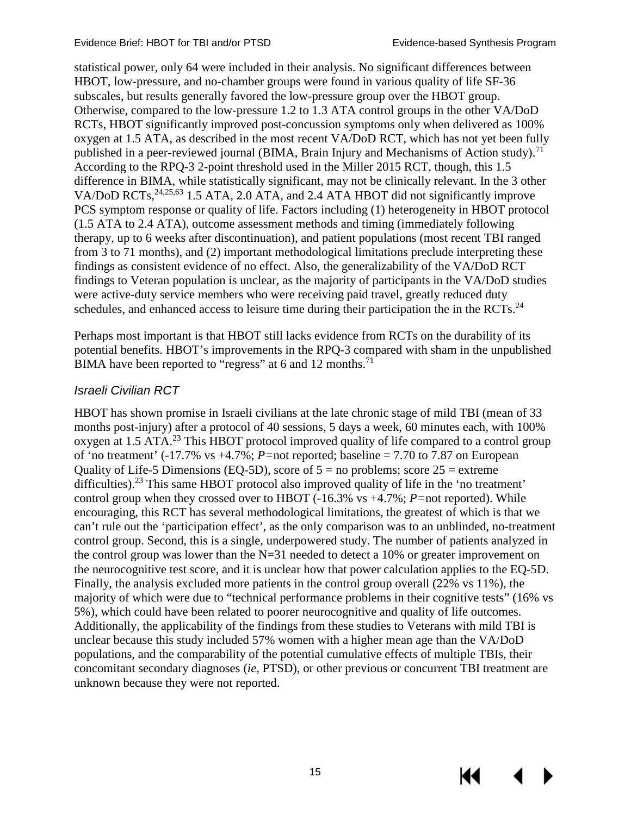KK

statistical power, only 64 were included in their analysis. No significant differences between HBOT, low-pressure, and no-chamber groups were found in various quality of life SF-36 subscales, but results generally favored the low-pressure group over the HBOT group. Otherwise, compared to the low-pressure 1.2 to 1.3 ATA control groups in the other VA/DoD RCTs, HBOT significantly improved post-concussion symptoms only when delivered as 100% oxygen at 1.5 ATA, as described in the most recent VA/DoD RCT, which has not yet been fully published in a peer-reviewed journal (BIMA, Brain Injury and Mechanisms of Action study).<sup>71</sup> According to the RPQ-3 2-point threshold used in the Miller 2015 RCT, though, this 1.5 difference in BIMA, while statistically significant, may not be clinically relevant. In the 3 other VA/DoD RCTs, <sup>24[,25](#page-28-14)[,63](#page-31-2)</sup> 1.5 ATA, 2.0 ATA, and 2.4 ATA HBOT did not significantly improve PCS symptom response or quality of life. Factors including (1) heterogeneity in HBOT protocol (1.5 ATA to 2.4 ATA), outcome assessment methods and timing (immediately following therapy, up to 6 weeks after discontinuation), and patient populations (most recent TBI ranged from 3 to 71 months), and (2) important methodological limitations preclude interpreting these findings as consistent evidence of no effect. Also, the generalizability of the VA/DoD RCT findings to Veteran population is unclear, as the majority of participants in the VA/DoD studies were active-duty service members who were receiving paid travel, greatly reduced duty schedules, and enhanced access to leisure time during their participation the in the RCTs. $^{24}$  $^{24}$  $^{24}$ 

Perhaps most important is that HBOT still lacks evidence from RCTs on the durability of its potential benefits. HBOT's improvements in the RPQ-3 c[omp](#page-31-8)ared with sham in the unpublished BIMA have been reported to "regress" at 6 and 12 months.<sup>71</sup>

#### *Israeli Civilian RCT*

HBOT has shown promise in Israeli civilians at the late chronic stage of mild TBI (mean of 33 months post-injury) after a protocol of 40 sessions, 5 days a week, 60 minutes each, with 100% oxygen at 1.5 ATA.[23](#page-28-3) This HBOT protocol improved quality of life compared to a control group of 'no treatment' (-17.7% vs +4.7%; *P=*not reported; baseline = 7.70 to 7.87 on European Quality of Life-5 Dimensions (EQ-5D), score of  $5 =$  no problems; score  $25 =$  extreme difficulties).<sup>23</sup> This same HBOT protocol also improved quality of life in the 'no treatment' control group when they crossed over to HBOT (-16.3% vs +4.7%; *P=*not reported). While encouraging, this RCT has several methodological limitations, the greatest of which is that we can't rule out the 'participation effect', as the only comparison was to an unblinded, no-treatment control group. Second, this is a single, underpowered study. The number of patients analyzed in the control group was lower than the  $N=31$  needed to detect a 10% or greater improvement on the neurocognitive test score, and it is unclear how that power calculation applies to the EQ-5D. Finally, the analysis excluded more patients in the control group overall (22% vs 11%), the majority of which were due to "technical performance problems in their cognitive tests" (16% vs 5%), which could have been related to poorer neurocognitive and quality of life outcomes. Additionally, the applicability of the findings from these studies to Veterans with mild TBI is unclear because this study included 57% women with a higher mean age than the VA/DoD populations, and the comparability of the potential cumulative effects of multiple TBIs, their concomitant secondary diagnoses (*ie*, PTSD), or other previous or concurrent TBI treatment are unknown because they were not reported.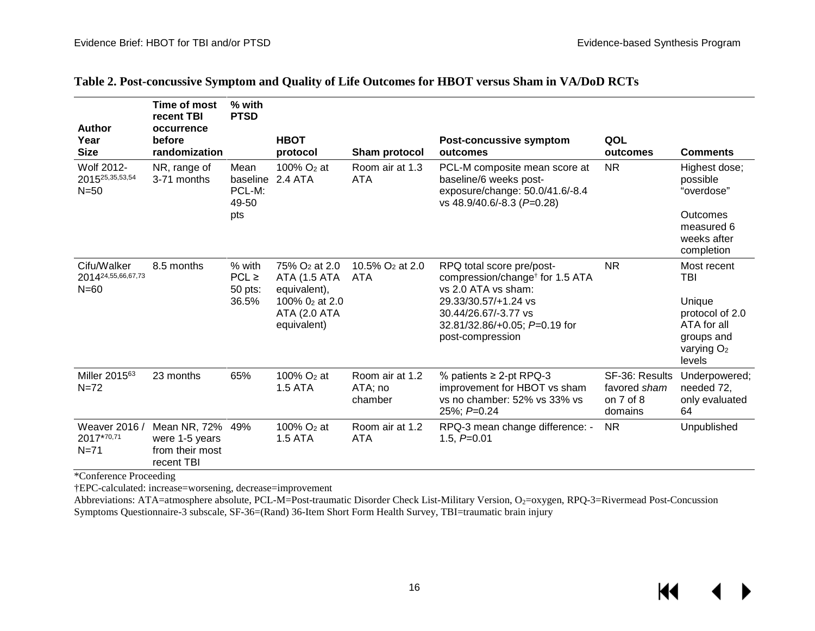<span id="page-19-0"></span>

| Author                                       | <b>Time of most</b><br>recent TBI<br>occurrence<br>before       | % with<br><b>PTSD</b>                   | <b>HBOT</b>                                                                                                       |                                       |                                                                                                                                                                                                      |                                                            |                                                                                                        |
|----------------------------------------------|-----------------------------------------------------------------|-----------------------------------------|-------------------------------------------------------------------------------------------------------------------|---------------------------------------|------------------------------------------------------------------------------------------------------------------------------------------------------------------------------------------------------|------------------------------------------------------------|--------------------------------------------------------------------------------------------------------|
| Year<br><b>Size</b>                          | randomization                                                   |                                         | protocol                                                                                                          | Sham protocol                         | Post-concussive symptom<br>outcomes                                                                                                                                                                  | QOL<br>outcomes                                            | <b>Comments</b>                                                                                        |
| Wolf 2012-<br>201525, 35, 53, 54<br>$N = 50$ | NR, range of<br>3-71 months                                     | Mean<br>baseline<br>PCL-M:<br>49-50     | 100% $O2$ at<br>2.4 ATA                                                                                           | Room air at 1.3<br><b>ATA</b>         | PCL-M composite mean score at<br>baseline/6 weeks post-<br>exposure/change: 50.0/41.6/-8.4<br>vs 48.9/40.6/-8.3 (P=0.28)                                                                             | <b>NR</b>                                                  | Highest dose;<br>possible<br>"overdose"                                                                |
|                                              |                                                                 | pts                                     |                                                                                                                   |                                       |                                                                                                                                                                                                      |                                                            | Outcomes<br>measured 6<br>weeks after<br>completion                                                    |
| Cifu/Walker<br>201424,55,66,67,73<br>$N=60$  | 8.5 months                                                      | % with<br>$PCL \ge$<br>50 pts:<br>36.5% | 75% O <sub>2</sub> at 2.0<br>ATA (1.5 ATA<br>equivalent),<br>100% 02 at 2.0<br><b>ATA (2.0 ATA</b><br>equivalent) | 10.5% O <sub>2</sub> at 2.0<br>ATA    | RPQ total score pre/post-<br>compression/change <sup>†</sup> for 1.5 ATA<br>vs 2.0 ATA vs sham:<br>29.33/30.57/+1.24 vs<br>30.44/26.67/-3.77 vs<br>32.81/32.86/+0.05; P=0.19 for<br>post-compression | <b>NR</b>                                                  | Most recent<br>TBI<br>Unique<br>protocol of 2.0<br>ATA for all<br>groups and<br>varying $O2$<br>levels |
| Miller 2015 <sup>63</sup><br>$N = 72$        | 23 months                                                       | 65%                                     | 100% O <sub>2</sub> at<br><b>1.5 ATA</b>                                                                          | Room air at 1.2<br>ATA; no<br>chamber | % patients $\geq$ 2-pt RPQ-3<br>improvement for HBOT vs sham<br>vs no chamber: 52% vs 33% vs<br>25%; P=0.24                                                                                          | SF-36: Results<br>favored sham<br>on $7$ of $8$<br>domains | Underpowered;<br>needed 72,<br>only evaluated<br>64                                                    |
| Weaver 2016 /<br>2017*70,71<br>$N = 71$      | Mean NR, 72%<br>were 1-5 years<br>from their most<br>recent TBI | 49%                                     | 100% O <sub>2</sub> at<br><b>1.5 ATA</b>                                                                          | Room air at 1.2<br><b>ATA</b>         | RPQ-3 mean change difference: -<br>1.5, $P=0.01$                                                                                                                                                     | <b>NR</b>                                                  | Unpublished                                                                                            |

#### **Table 2. Post-concussive Symptom and Quality of Life Outcomes for HBOT versus Sham in VA/DoD RCTs**

\*Conference Proceeding

†EPC-calculated: increase=worsening, decrease=improvement

Abbreviations: ATA=atmosphere absolute, PCL-M=Post-traumatic Disorder Check List-Military Version, O<sub>2</sub>=oxygen, RPQ-3=Rivermead Post-Concussion Symptoms Questionnaire-3 subscale, SF-36=(Rand) 36-Item Short Form Health Survey, TBI=traumatic brain injury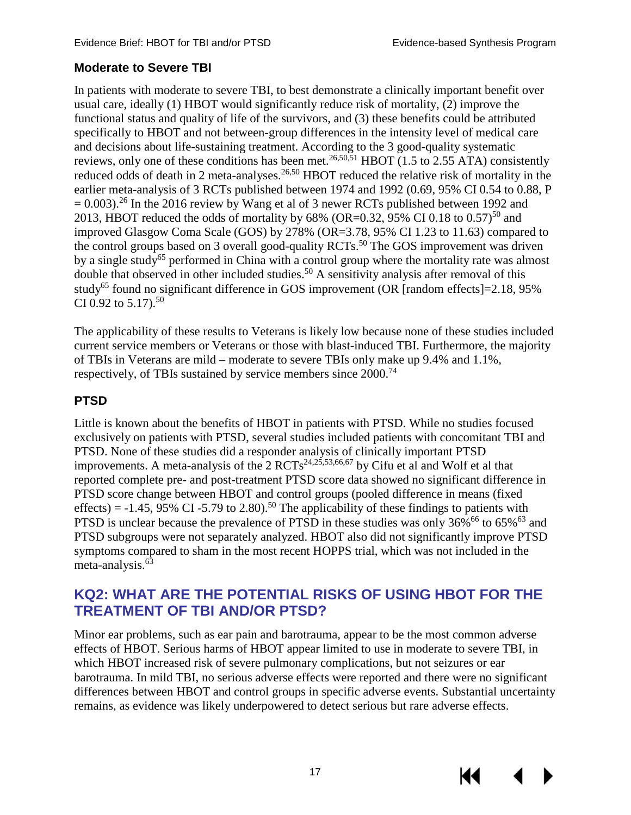#### <span id="page-20-0"></span>**Moderate to Severe TBI**

In patients with moderate to severe TBI, to best demonstrate a clinically important benefit over usual care, ideally (1) HBOT would significantly reduce risk of mortality, (2) improve the functional status and quality of life of the survivors, and (3) these benefits could be attributed specifically to HBOT and not between-group differences in the intensity level of medical care and decisions about life-sustaining treatment. According to the 3 good-quality systematic reviews, only one of these conditions has been met.<sup>[26,](#page-28-11)[50,](#page-30-1)[51](#page-30-2)</sup> HBOT (1.5 to 2.55 ATA) consistently reduced odds of death in 2 meta-analyses.<sup>26[,50](#page-30-1)</sup> HBOT reduced the relative risk of mortality in the earlier meta-analysis of 3 RCTs published between 1974 and 1992 (0.69, 95% CI 0.54 to 0.88, P  $= 0.003$ .<sup>[26](#page-28-3)</sup> In the 2016 review by Wang et al of 3 newer RCTs published between 1992 and 2013, HBOT reduced the odds of mortality by  $68\%$  (OR=0.32, 95% CI 0.18 to 0.57)<sup>50</sup> and improved Glasgow Coma Scale (GOS) by 278% (OR=3.78, 95% CI 1.23 to 11.63) compared to the control groups based on 3 overall good-quality RCTs.<sup>[50](#page-30-0)</sup> The GOS improvement was driven by a single study<sup>65</sup> performed in China with a control group where the mortality rate was almost double that observed in other included studies.<sup>[50](#page-30-0)</sup> A sensitivity analysis after removal of this study<sup>65</sup> found no significant difference in GOS improvement (OR [random effects]=2.18, 95% CI 0.92 to 5.17).<sup>50</sup>

The applicability of these results to Veterans is likely low because none of these studies included current service members or Veterans or those with blast-induced TBI. Furthermore, the majority of TBIs in Veterans are mild – moderate to severe TBIs only make up 9.4% and 1.1%, respectively, of TBIs sustained by service members since 2000.<sup>[74](#page-31-8)</sup>

#### <span id="page-20-1"></span>**PTSD**

Little is known about the benefits of HBOT in patients with PTSD. While no studies focused exclusively on patients with PTSD, several studies included patients with concomitant TBI and PTSD. None of these studies did a responder analysis of clinically important PTSD improvements. A meta-analysis of the  $2 RCTs^{24,25,53,66,67}$  $2 RCTs^{24,25,53,66,67}$  $2 RCTs^{24,25,53,66,67}$  $2 RCTs^{24,25,53,66,67}$  $2 RCTs^{24,25,53,66,67}$  $2 RCTs^{24,25,53,66,67}$  $2 RCTs^{24,25,53,66,67}$  by Cifu et al and Wolf et al that reported complete pre- and post-treatment PTSD score data showed no significant difference in PTSD score change between HBOT and control groups (pooled difference in means (fixed effects) = -1.45, 95% CI -5.79 to 2.80).<sup>[50](#page-30-0)</sup> The applicability of these findings to patients with PTSD is unclear because the prevalence of PTSD in these studies was only  $36\%$ <sup>66</sup> to  $65\%$ <sup>63</sup> and PTSD subgroups were not separately analyzed. HBOT also did not significantly improve PTSD symptoms compared to sham in the most recent HOPPS trial, which was not included in the meta-analysis.<sup>63</sup>

#### <span id="page-20-2"></span>**KQ2: WHAT ARE THE POTENTIAL RISKS OF USING HBOT FOR THE TREATMENT OF TBI AND/OR PTSD?**

Minor ear problems, such as ear pain and barotrauma, appear to be the most common adverse effects of HBOT. Serious harms of HBOT appear limited to use in moderate to severe TBI, in which HBOT increased risk of severe pulmonary complications, but not seizures or ear barotrauma. In mild TBI, no serious adverse effects were reported and there were no significant differences between HBOT and control groups in specific adverse events. Substantial uncertainty remains, as evidence was likely underpowered to detect serious but rare adverse effects.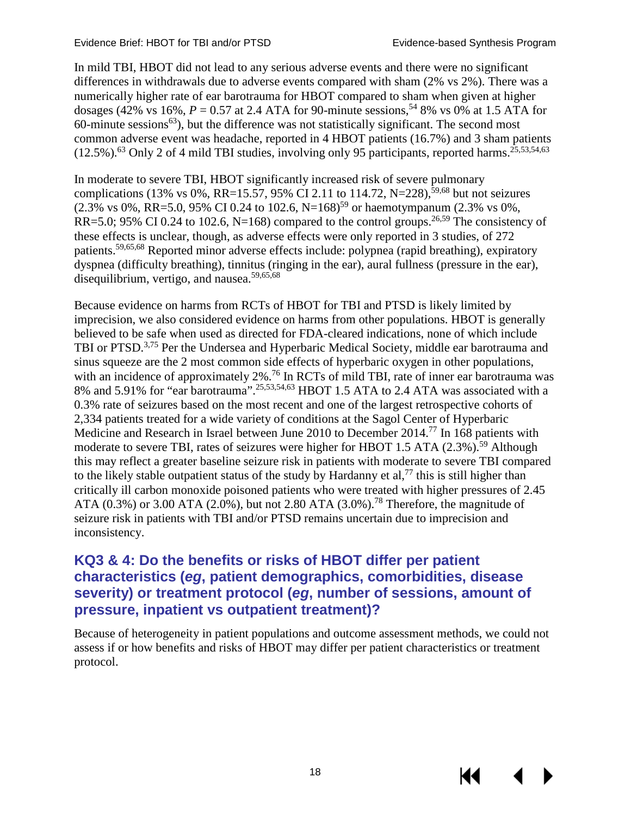In mild TBI, HBOT did not lead to any serious adverse events and there were no significant differences in withdrawals due to adverse events compared with sham (2% vs 2%). There was a numerically higher rate of ear barotrauma for HBOT compared to sham when given at higher dosages (42% vs 16%,  $P = 0.57$  at 2.4 ATA for 90-minute sessions,<sup>54</sup> 8% vs 0% at 1.5 ATA for  $60$ -minute sessions<sup> $63$ </sup>), but the difference was not statistically significant. The second most common adverse event was headache, reported in 4 HBOT patients (16.7%) and 3 sham patients (12.5%).<sup>[63](#page-31-2)</sup> Only 2 of 4 mild TBI studies, involving only 95 participants, reported harms.<sup>[25,](#page-28-14)[53,](#page-30-4)[54,](#page-30-8)63</sup>

In moderate to severe TBI, HBOT significantly increased risk of severe pulmonary complications (13% vs 0%, RR=15.57, 95% CI 2.11 to 114.72, N=228),<sup>59,[68](#page-31-7)</sup> but not seizures  $(2.3\% \text{ vs } 0\%, \text{ RR} = 5.0, 95\% \text{ CI } 0.24 \text{ to } 102.6, \text{ N} = 168)^{59} \text{ or haemotympanum } (2.3\% \text{ vs } 0\%),$ RR=5.0; 95% CI 0.24 to 102.6, N=168) compared to the control groups.<sup>[26,](#page-28-11)[59](#page-30-9)</sup> The consistency of these effects is unclear, though, as adverse effects were only reported in 3 studies, of 272 patients[.59,](#page-30-9)[65,](#page-31-6)[68](#page-31-7) Reported minor adverse effects include: polypnea (rapid breathing), expiratory dyspnea (difficulty breathing), tinnitus (ringing in the ear), aural fullness (pressure in the ear), disequilibrium, vertigo, and nausea. [59](#page-30-9)[,65](#page-31-6)[,68](#page-31-7)

Because evidence on harms from RCTs of HBOT for TBI and PTSD is likely limited by imprecision, we also considered evidence on harms from other populations. HBOT is generally believed to be safe when used as directed for FDA-cleared indications, none of which include TBI or PTSD.<sup>[3,](#page-27-8)[75](#page-31-14)</sup> Per the Undersea and Hyperbaric Medical Society, middle ear barotrauma and sinus squeeze are the 2 most common side effects of hyperbaric oxygen in other populations, with an incidence of approximately 2%.<sup>[76](#page-31-8)</sup> In RCTs of mild TBI, rate of inner ear barotrauma was 8% and 5.91% for "ear barotrauma".<sup>[25](#page-28-14)[,53](#page-30-4)[,54](#page-30-8)[,63](#page-31-2)</sup> HBOT 1.5 ATA to 2.4 ATA was associated with a 0.3% rate of seizures based on the most recent and one of the largest retrospective cohorts of 2,334 patients treated for a wide variety of conditions at the Sagol Cent[er o](#page-31-8)f Hyperbaric Medicine and Research in Israel between June 2010 to December 2014.<sup>77</sup> In 168 patients with moderate to severe TBI, rates of seizures were higher for HBOT 1.5 ATA (2.3%).<sup>[59](#page-30-0)</sup> Although this may reflect a greater baseline seizure risk in patients with moderate to severe TBI compared to the likely stable outpatient status of the study by Hardanny et al,<sup>[77](#page-31-8)</sup> this is still higher than critically ill carbon monoxide poisoned patients who were treated with higher pressures of 2.45 ATA  $(0.3\%)$  or 3.00 ATA  $(2.0\%)$ , but not 2.80 ATA  $(3.0\%)$ .<sup>[78](#page-31-8)</sup> Therefore, the magnitude of seizure risk in patients with TBI and/or PTSD remains uncertain due to imprecision and inconsistency.

### <span id="page-21-0"></span>**KQ3 & 4: Do the benefits or risks of HBOT differ per patient characteristics (***eg***, patient demographics, comorbidities, disease severity) or treatment protocol (***eg***, number of sessions, amount of pressure, inpatient vs outpatient treatment)?**

Because of heterogeneity in patient populations and outcome assessment methods, we could not assess if or how benefits and risks of HBOT may differ per patient characteristics or treatment protocol.

18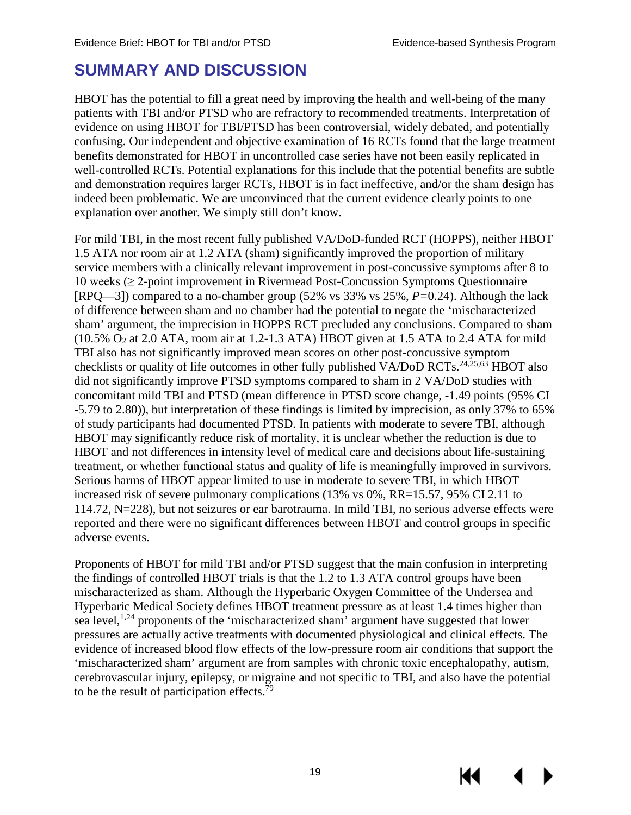### <span id="page-22-0"></span>**SUMMARY AND DISCUSSION**

HBOT has the potential to fill a great need by improving the health and well-being of the many patients with TBI and/or PTSD who are refractory to recommended treatments. Interpretation of evidence on using HBOT for TBI/PTSD has been controversial, widely debated, and potentially confusing. Our independent and objective examination of 16 RCTs found that the large treatment benefits demonstrated for HBOT in uncontrolled case series have not been easily replicated in well-controlled RCTs. Potential explanations for this include that the potential benefits are subtle and demonstration requires larger RCTs, HBOT is in fact ineffective, and/or the sham design has indeed been problematic. We are unconvinced that the current evidence clearly points to one explanation over another. We simply still don't know.

For mild TBI, in the most recent fully published VA/DoD-funded RCT (HOPPS), neither HBOT 1.5 ATA nor room air at 1.2 ATA (sham) significantly improved the proportion of military service members with a clinically relevant improvement in post-concussive symptoms after 8 to 10 weeks (≥ 2-point improvement in Rivermead Post-Concussion Symptoms Questionnaire [RPQ—3]) compared to a no-chamber group (52% vs 33% vs 25%, *P=*0.24). Although the lack of difference between sham and no chamber had the potential to negate the 'mischaracterized sham' argument, the imprecision in HOPPS RCT precluded any conclusions. Compared to sham  $(10.5\% \text{ O}_2 \text{ at } 2.0 \text{ ATA}$ , room air at 1.2-1.3 ATA) HBOT given at 1.5 ATA to 2.4 ATA for mild TBI also has not significantly improved mean scores on other post-concussive symptom checklists or quality of life outcomes in other fully published VA/DoD RCTs.<sup>24,[25](#page-28-14)[,63](#page-31-2)</sup> HBOT also did not significantly improve PTSD symptoms compared to sham in 2 VA/DoD studies with concomitant mild TBI and PTSD (mean difference in PTSD score change, -1.49 points (95% CI -5.79 to 2.80)), but interpretation of these findings is limited by imprecision, as only 37% to 65% of study participants had documented PTSD. In patients with moderate to severe TBI, although HBOT may significantly reduce risk of mortality, it is unclear whether the reduction is due to HBOT and not differences in intensity level of medical care and decisions about life-sustaining treatment, or whether functional status and quality of life is meaningfully improved in survivors. Serious harms of HBOT appear limited to use in moderate to severe TBI, in which HBOT increased risk of severe pulmonary complications (13% vs 0%, RR=15.57, 95% CI 2.11 to 114.72, N=228), but not seizures or ear barotrauma. In mild TBI, no serious adverse effects were reported and there were no significant differences between HBOT and control groups in specific adverse events.

Proponents of HBOT for mild TBI and/or PTSD suggest that the main confusion in interpreting the findings of controlled HBOT trials is that the 1.2 to 1.3 ATA control groups have been mischaracterized as sham. Although the Hyperbaric Oxygen Committee of the Undersea and Hyperbaric Medical Society defines HBOT treatment pressure as at least 1.4 times higher than sea level,<sup>[1,](#page-27-9)[24](#page-28-13)</sup> proponents of the 'mischaracterized sham' argument have suggested that lower pressures are actually active treatments with documented physiological and clinical effects. The evidence of increased blood flow effects of the low-pressure room air conditions that support the 'mischaracterized sham' argument are from samples with chronic toxic encephalopathy, autism, cerebrovascular injury, epilepsy, or [migra](#page-31-8)ine and not specific to TBI, and also have the potential to be the result of participation effects.<sup>79</sup>

19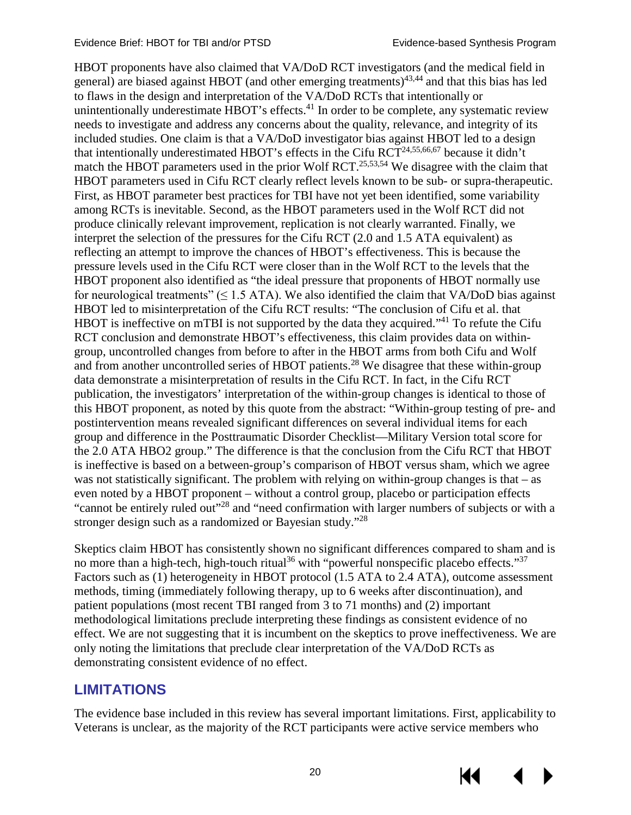HBOT proponents have also claimed that VA/DoD RCT investigators (and the medical field in general) are biased against HBOT (and other emerging treatments[\)43,](#page-29-6)[44](#page-29-7) and that this bias has led to flaws in the design and interpretation of the VA/DoD RCTs that intentionally or unintentionally underestimate HBOT's effects. $41$  In order to be complete, any systematic review needs to investigate and address any concerns about the quality, relevance, and integrity of its included studies. One claim is that a VA/DoD investigator bias against HBOT led to a design that intentionally underestimated HBOT's effects in the Cifu RCT<sup>24[,55](#page-30-10)[,66](#page-31-3)[,67](#page-31-4)</sup> because it didn't match the HBOT parameters used in the prior Wolf RCT.<sup>25,[53,](#page-30-4)[54](#page-30-8)</sup> We disagree with the claim that HBOT parameters used in Cifu RCT clearly reflect levels known to be sub- or supra-therapeutic. First, as HBOT parameter best practices for TBI have not yet been identified, some variability among RCTs is inevitable. Second, as the HBOT parameters used in the Wolf RCT did not produce clinically relevant improvement, replication is not clearly warranted. Finally, we interpret the selection of the pressures for the Cifu RCT (2.0 and 1.5 ATA equivalent) as reflecting an attempt to improve the chances of HBOT's effectiveness. This is because the pressure levels used in the Cifu RCT were closer than in the Wolf RCT to the levels that the HBOT proponent also identified as "the ideal pressure that proponents of HBOT normally use for neurological treatments" ( $\leq$  1.5 ATA). We also identified the claim that VA/DoD bias against HBOT led to misinterpretation of the Cifu RCT results: "The conclusion of Cifu et al. that HBOT is ineffective on mTBI is not supported by the data they acquired."<sup>41</sup> To refute the Cifu RCT conclusion and demonstrate HBOT's effectiveness, this claim provides data on withingroup, uncontrolled changes from before to after in the [HB](#page-28-3)OT arms from both Cifu and Wolf and from another uncontrolled series of HBOT patients.<sup>28</sup> We disagree that these within-group data demonstrate a misinterpretation of results in the Cifu RCT. In fact, in the Cifu RCT publication, the investigators' interpretation of the within-group changes is identical to those of this HBOT proponent, as noted by this quote from the abstract: "Within-group testing of pre- and postintervention means revealed significant differences on several individual items for each group and difference in the Posttraumatic Disorder Checklist—Military Version total score for the 2.0 ATA HBO2 group." The difference is that the conclusion from the Cifu RCT that HBOT is ineffective is based on a between-group's comparison of HBOT versus sham, which we agree was not statistically significant. The problem with relying on within-group changes is that – as even noted by a HBOT proponent – without a control group, placebo or participation effects "cannot be entirely ruled out["28](#page-28-3) and "need confirmation with larger numbers of subjects or with a stronger design such as a randomized or Bayesian study.["28](#page-28-3)

Skeptics claim HBOT has consistently shown no significant differences compared to sham and is no more than a high-tech, high-touch ritual<sup>[36](#page-29-0)</sup> with "powerful nonspecific placebo effects."<sup>37</sup> Factors such as (1) heterogeneity in HBOT protocol (1.5 ATA to 2.4 ATA), outcome assessment methods, timing (immediately following therapy, up to 6 weeks after discontinuation), and patient populations (most recent TBI ranged from 3 to 71 months) and (2) important methodological limitations preclude interpreting these findings as consistent evidence of no effect. We are not suggesting that it is incumbent on the skeptics to prove ineffectiveness. We are only noting the limitations that preclude clear interpretation of the VA/DoD RCTs as demonstrating consistent evidence of no effect.

### <span id="page-23-0"></span>**LIMITATIONS**

The evidence base included in this review has several important limitations. First, applicability to Veterans is unclear, as the majority of the RCT participants were active service members who

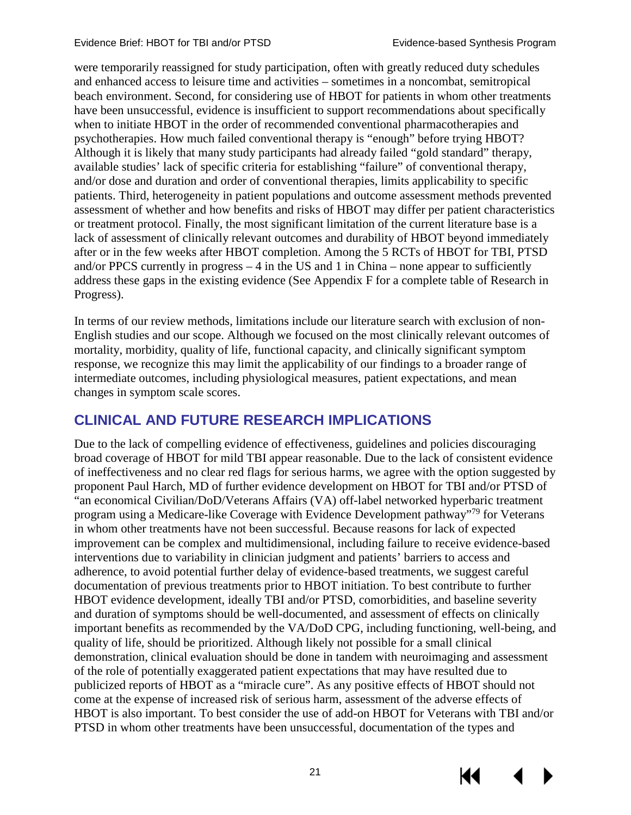were temporarily reassigned for study participation, often with greatly reduced duty schedules and enhanced access to leisure time and activities – sometimes in a noncombat, semitropical beach environment. Second, for considering use of HBOT for patients in whom other treatments have been unsuccessful, evidence is insufficient to support recommendations about specifically when to initiate HBOT in the order of recommended conventional pharmacotherapies and psychotherapies. How much failed conventional therapy is "enough" before trying HBOT? Although it is likely that many study participants had already failed "gold standard" therapy, available studies' lack of specific criteria for establishing "failure" of conventional therapy, and/or dose and duration and order of conventional therapies, limits applicability to specific patients. Third, heterogeneity in patient populations and outcome assessment methods prevented assessment of whether and how benefits and risks of HBOT may differ per patient characteristics or treatment protocol. Finally, the most significant limitation of the current literature base is a lack of assessment of clinically relevant outcomes and durability of HBOT beyond immediately after or in the few weeks after HBOT completion. Among the 5 RCTs of HBOT for TBI, PTSD and/or PPCS currently in progress  $-4$  in the US and 1 in China – none appear to sufficiently address these gaps in the existing evidence (See Appendix F for a complete table of Research in Progress).

In terms of our review methods, limitations include our literature search with exclusion of non-English studies and our scope. Although we focused on the most clinically relevant outcomes of mortality, morbidity, quality of life, functional capacity, and clinically significant symptom response, we recognize this may limit the applicability of our findings to a broader range of intermediate outcomes, including physiological measures, patient expectations, and mean changes in symptom scale scores.

### <span id="page-24-0"></span>**CLINICAL AND FUTURE RESEARCH IMPLICATIONS**

Due to the lack of compelling evidence of effectiveness, guidelines and policies discouraging broad coverage of HBOT for mild TBI appear reasonable. Due to the lack of consistent evidence of ineffectiveness and no clear red flags for serious harms, we agree with the option suggested by proponent Paul Harch, MD of further evidence development on HBOT for TBI and/or PTSD of "an economical Civilian/DoD/Veterans Affairs (VA) off-label networked hyperbaric treatment program using a Medicare-like Coverage with Evidence Development pathway["79](#page-31-8) for Veterans in whom other treatments have not been successful. Because reasons for lack of expected improvement can be complex and multidimensional, including failure to receive evidence-based interventions due to variability in clinician judgment and patients' barriers to access and adherence, to avoid potential further delay of evidence-based treatments, we suggest careful documentation of previous treatments prior to HBOT initiation. To best contribute to further HBOT evidence development, ideally TBI and/or PTSD, comorbidities, and baseline severity and duration of symptoms should be well-documented, and assessment of effects on clinically important benefits as recommended by the VA/DoD CPG, including functioning, well-being, and quality of life, should be prioritized. Although likely not possible for a small clinical demonstration, clinical evaluation should be done in tandem with neuroimaging and assessment of the role of potentially exaggerated patient expectations that may have resulted due to publicized reports of HBOT as a "miracle cure". As any positive effects of HBOT should not come at the expense of increased risk of serious harm, assessment of the adverse effects of HBOT is also important. To best consider the use of add-on HBOT for Veterans with TBI and/or PTSD in whom other treatments have been unsuccessful, documentation of the types and

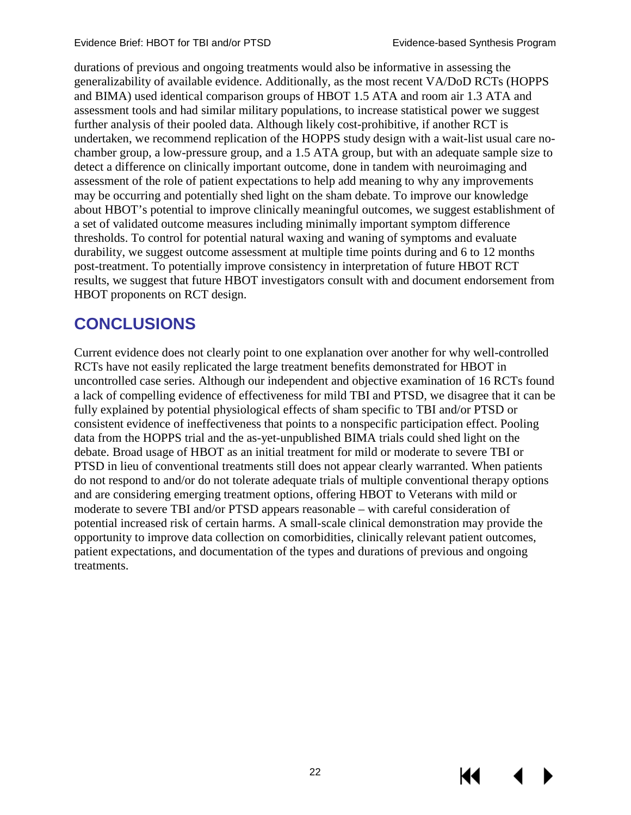К

durations of previous and ongoing treatments would also be informative in assessing the generalizability of available evidence. Additionally, as the most recent VA/DoD RCTs (HOPPS and BIMA) used identical comparison groups of HBOT 1.5 ATA and room air 1.3 ATA and assessment tools and had similar military populations, to increase statistical power we suggest further analysis of their pooled data. Although likely cost-prohibitive, if another RCT is undertaken, we recommend replication of the HOPPS study design with a wait-list usual care nochamber group, a low-pressure group, and a 1.5 ATA group, but with an adequate sample size to detect a difference on clinically important outcome, done in tandem with neuroimaging and assessment of the role of patient expectations to help add meaning to why any improvements may be occurring and potentially shed light on the sham debate. To improve our knowledge about HBOT's potential to improve clinically meaningful outcomes, we suggest establishment of a set of validated outcome measures including minimally important symptom difference thresholds. To control for potential natural waxing and waning of symptoms and evaluate durability, we suggest outcome assessment at multiple time points during and 6 to 12 months post-treatment. To potentially improve consistency in interpretation of future HBOT RCT results, we suggest that future HBOT investigators consult with and document endorsement from HBOT proponents on RCT design.

### <span id="page-25-0"></span>**CONCLUSIONS**

Current evidence does not clearly point to one explanation over another for why well-controlled RCTs have not easily replicated the large treatment benefits demonstrated for HBOT in uncontrolled case series. Although our independent and objective examination of 16 RCTs found a lack of compelling evidence of effectiveness for mild TBI and PTSD, we disagree that it can be fully explained by potential physiological effects of sham specific to TBI and/or PTSD or consistent evidence of ineffectiveness that points to a nonspecific participation effect. Pooling data from the HOPPS trial and the as-yet-unpublished BIMA trials could shed light on the debate. Broad usage of HBOT as an initial treatment for mild or moderate to severe TBI or PTSD in lieu of conventional treatments still does not appear clearly warranted. When patients do not respond to and/or do not tolerate adequate trials of multiple conventional therapy options and are considering emerging treatment options, offering HBOT to Veterans with mild or moderate to severe TBI and/or PTSD appears reasonable – with careful consideration of potential increased risk of certain harms. A small-scale clinical demonstration may provide the opportunity to improve data collection on comorbidities, clinically relevant patient outcomes, patient expectations, and documentation of the types and durations of previous and ongoing treatments.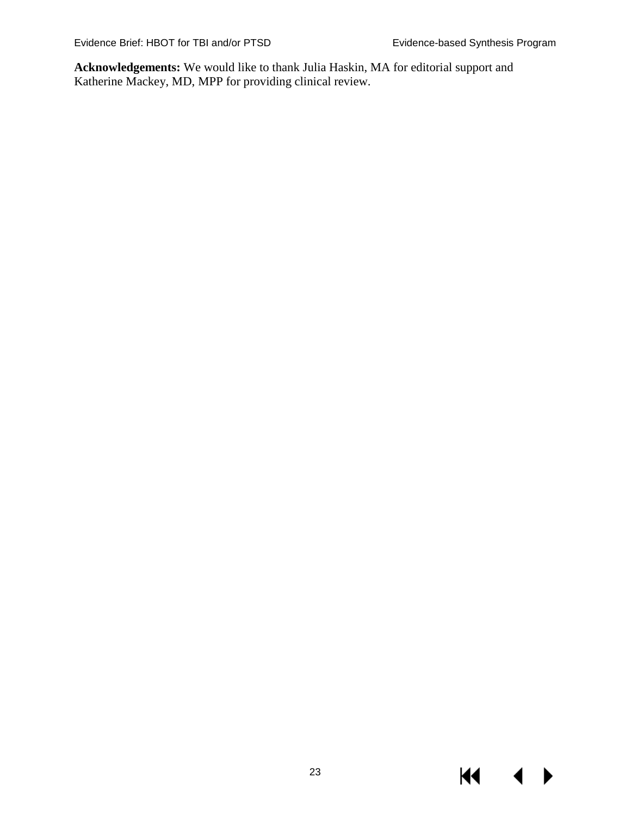$M \rightarrow$ 

**Acknowledgements:** We would like to thank Julia Haskin, MA for editorial support and Katherine Mackey, MD, MPP for providing clinical review.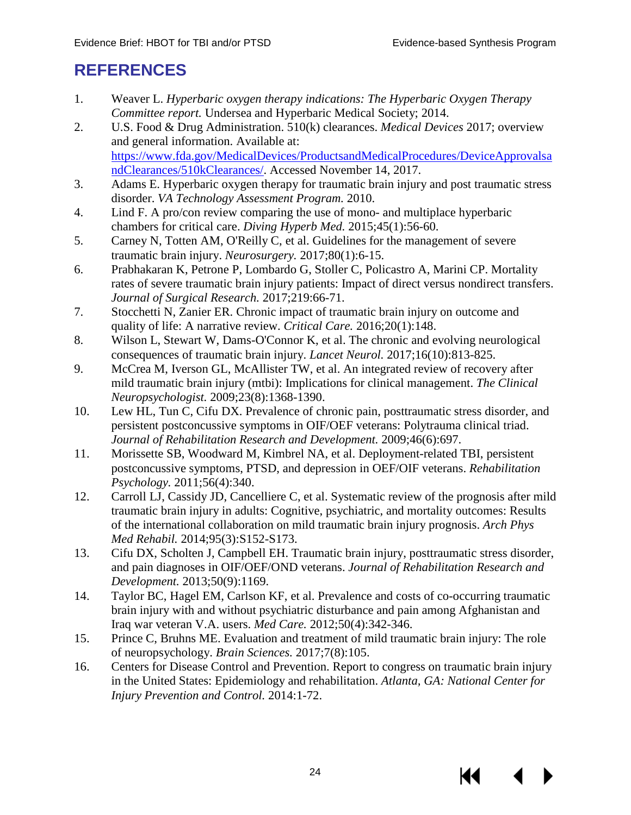### <span id="page-27-1"></span><span id="page-27-0"></span>**REFERENCES**

- <span id="page-27-9"></span>1. Weaver L. *Hyperbaric oxygen therapy indications: The Hyperbaric Oxygen Therapy Committee report.* Undersea and Hyperbaric Medical Society; 2014.
- 2. U.S. Food & Drug Administration. 510(k) clearances. *Medical Devices* 2017; overview and general information. Available at: [https://www.fda.gov/MedicalDevices/ProductsandMedicalProcedures/DeviceApprovalsa](https://www.fda.gov/MedicalDevices/ProductsandMedicalProcedures/DeviceApprovalsandClearances/510kClearances/) [ndClearances/510kClearances/.](https://www.fda.gov/MedicalDevices/ProductsandMedicalProcedures/DeviceApprovalsandClearances/510kClearances/) Accessed November 14, 2017.
- <span id="page-27-8"></span>3. Adams E. Hyperbaric oxygen therapy for traumatic brain injury and post traumatic stress disorder. *VA Technology Assessment Program.* 2010.
- 4. Lind F. A pro/con review comparing the use of mono- and multiplace hyperbaric chambers for critical care. *Diving Hyperb Med.* 2015;45(1):56-60.
- 5. Carney N, Totten AM, O'Reilly C, et al. Guidelines for the management of severe traumatic brain injury. *Neurosurgery.* 2017;80(1):6-15.
- 6. Prabhakaran K, Petrone P, Lombardo G, Stoller C, Policastro A, Marini CP. Mortality rates of severe traumatic brain injury patients: Impact of direct versus nondirect transfers. *Journal of Surgical Research.* 2017;219:66-71.
- <span id="page-27-2"></span>7. Stocchetti N, Zanier ER. Chronic impact of traumatic brain injury on outcome and quality of life: A narrative review. *Critical Care.* 2016;20(1):148.
- <span id="page-27-3"></span>8. Wilson L, Stewart W, Dams-O'Connor K, et al. The chronic and evolving neurological consequences of traumatic brain injury. *Lancet Neurol.* 2017;16(10):813-825.
- 9. McCrea M, Iverson GL, McAllister TW, et al. An integrated review of recovery after mild traumatic brain injury (mtbi): Implications for clinical management. *The Clinical Neuropsychologist.* 2009;23(8):1368-1390.
- 10. Lew HL, Tun C, Cifu DX. Prevalence of chronic pain, posttraumatic stress disorder, and persistent postconcussive symptoms in OIF/OEF veterans: Polytrauma clinical triad. *Journal of Rehabilitation Research and Development.* 2009;46(6):697.
- 11. Morissette SB, Woodward M, Kimbrel NA, et al. Deployment-related TBI, persistent postconcussive symptoms, PTSD, and depression in OEF/OIF veterans. *Rehabilitation Psychology.* 2011;56(4):340.
- 12. Carroll LJ, Cassidy JD, Cancelliere C, et al. Systematic review of the prognosis after mild traumatic brain injury in adults: Cognitive, psychiatric, and mortality outcomes: Results of the international collaboration on mild traumatic brain injury prognosis. *Arch Phys Med Rehabil.* 2014;95(3):S152-S173.
- <span id="page-27-4"></span>13. Cifu DX, Scholten J, Campbell EH. Traumatic brain injury, posttraumatic stress disorder, and pain diagnoses in OIF/OEF/OND veterans. *Journal of Rehabilitation Research and Development.* 2013;50(9):1169.
- <span id="page-27-5"></span>14. Taylor BC, Hagel EM, Carlson KF, et al. Prevalence and costs of co-occurring traumatic brain injury with and without psychiatric disturbance and pain among Afghanistan and Iraq war veteran V.A. users. *Med Care.* 2012;50(4):342-346.
- <span id="page-27-6"></span>15. Prince C, Bruhns ME. Evaluation and treatment of mild traumatic brain injury: The role of neuropsychology. *Brain Sciences.* 2017;7(8):105.
- <span id="page-27-7"></span>16. Centers for Disease Control and Prevention. Report to congress on traumatic brain injury in the United States: Epidemiology and rehabilitation. *Atlanta, GA: National Center for Injury Prevention and Control.* 2014:1-72.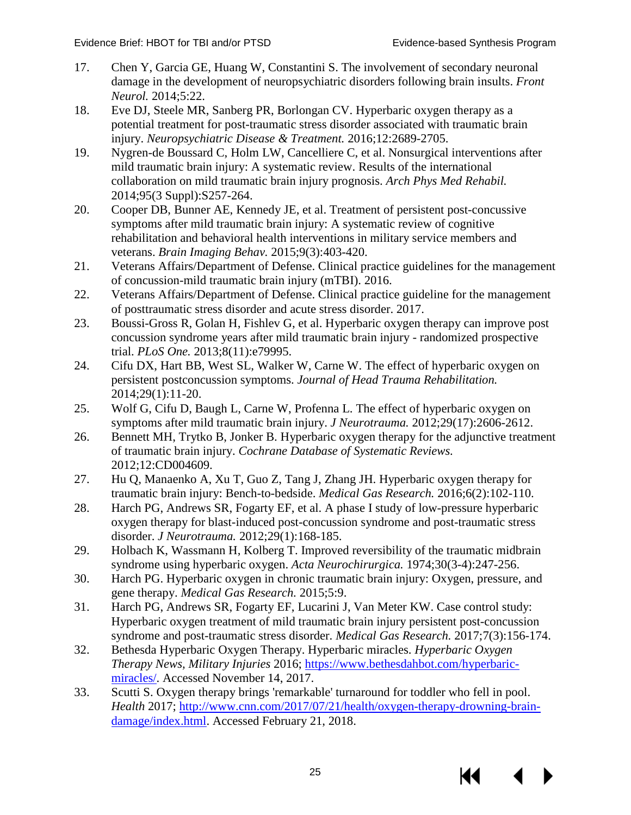- <span id="page-28-3"></span><span id="page-28-0"></span>17. Chen Y, Garcia GE, Huang W, Constantini S. The involvement of secondary neuronal damage in the development of neuropsychiatric disorders following brain insults. *Front Neurol.* 2014;5:22.
- 18. Eve DJ, Steele MR, Sanberg PR, Borlongan CV. Hyperbaric oxygen therapy as a potential treatment for post-traumatic stress disorder associated with traumatic brain injury. *Neuropsychiatric Disease & Treatment.* 2016;12:2689-2705.
- <span id="page-28-16"></span><span id="page-28-1"></span>19. Nygren-de Boussard C, Holm LW, Cancelliere C, et al. Nonsurgical interventions after mild traumatic brain injury: A systematic review. Results of the international collaboration on mild traumatic brain injury prognosis. *Arch Phys Med Rehabil.*  2014;95(3 Suppl):S257-264.
- <span id="page-28-15"></span><span id="page-28-2"></span>20. Cooper DB, Bunner AE, Kennedy JE, et al. Treatment of persistent post-concussive symptoms after mild traumatic brain injury: A systematic review of cognitive rehabilitation and behavioral health interventions in military service members and veterans. *Brain Imaging Behav.* 2015;9(3):403-420.
- 21. Veterans Affairs/Department of Defense. Clinical practice guidelines for the management of concussion-mild traumatic brain injury (mTBI). 2016.
- 22. Veterans Affairs/Department of Defense. Clinical practice guideline for the management of posttraumatic stress disorder and acute stress disorder. 2017.
- <span id="page-28-4"></span>23. Boussi-Gross R, Golan H, Fishlev G, et al. Hyperbaric oxygen therapy can improve post concussion syndrome years after mild traumatic brain injury - randomized prospective trial. *PLoS One.* 2013;8(11):e79995.
- <span id="page-28-13"></span>24. Cifu DX, Hart BB, West SL, Walker W, Carne W. The effect of hyperbaric oxygen on persistent postconcussion symptoms. *Journal of Head Trauma Rehabilitation.*  2014;29(1):11-20.
- <span id="page-28-14"></span>25. Wolf G, Cifu D, Baugh L, Carne W, Profenna L. The effect of hyperbaric oxygen on symptoms after mild traumatic brain injury. *J Neurotrauma.* 2012;29(17):2606-2612.
- <span id="page-28-11"></span>26. Bennett MH, Trytko B, Jonker B. Hyperbaric oxygen therapy for the adjunctive treatment of traumatic brain injury. *Cochrane Database of Systematic Reviews.*  2012;12:CD004609.
- <span id="page-28-6"></span>27. Hu Q, Manaenko A, Xu T, Guo Z, Tang J, Zhang JH. Hyperbaric oxygen therapy for traumatic brain injury: Bench-to-bedside. *Medical Gas Research.* 2016;6(2):102-110.
- <span id="page-28-5"></span>28. Harch PG, Andrews SR, Fogarty EF, et al. A phase I study of low-pressure hyperbaric oxygen therapy for blast-induced post-concussion syndrome and post-traumatic stress disorder. *J Neurotrauma.* 2012;29(1):168-185.
- <span id="page-28-12"></span>29. Holbach K, Wassmann H, Kolberg T. Improved reversibility of the traumatic midbrain syndrome using hyperbaric oxygen. *Acta Neurochirurgica.* 1974;30(3-4):247-256.
- <span id="page-28-7"></span>30. Harch PG. Hyperbaric oxygen in chronic traumatic brain injury: Oxygen, pressure, and gene therapy. *Medical Gas Research.* 2015;5:9.
- <span id="page-28-8"></span>31. Harch PG, Andrews SR, Fogarty EF, Lucarini J, Van Meter KW. Case control study: Hyperbaric oxygen treatment of mild traumatic brain injury persistent post-concussion syndrome and post-traumatic stress disorder. *Medical Gas Research.* 2017;7(3):156-174.
- <span id="page-28-9"></span>32. Bethesda Hyperbaric Oxygen Therapy. Hyperbaric miracles. *Hyperbaric Oxygen Therapy News, Military Injuries* 2016; [https://www.bethesdahbot.com/hyperbaric](https://www.bethesdahbot.com/hyperbaric-miracles/)[miracles/.](https://www.bethesdahbot.com/hyperbaric-miracles/) Accessed November 14, 2017.
- <span id="page-28-10"></span>33. Scutti S. Oxygen therapy brings 'remarkable' turnaround for toddler who fell in pool. *Health* 2017; [http://www.cnn.com/2017/07/21/health/oxygen-therapy-drowning-brain](http://www.cnn.com/2017/07/21/health/oxygen-therapy-drowning-brain-damage/index.html)[damage/index.html.](http://www.cnn.com/2017/07/21/health/oxygen-therapy-drowning-brain-damage/index.html) Accessed February 21, 2018.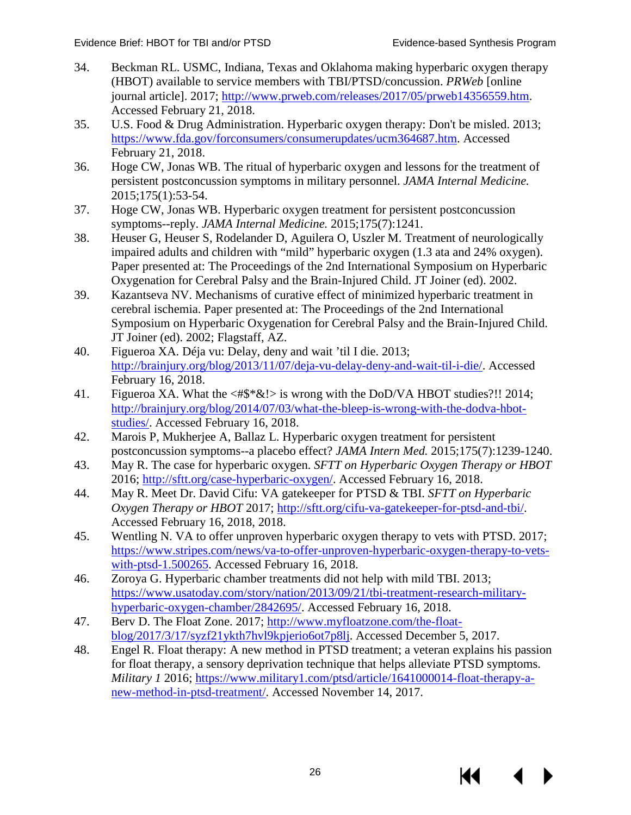KK

- <span id="page-29-5"></span><span id="page-29-0"></span>34. Beckman RL. USMC, Indiana, Texas and Oklahoma making hyperbaric oxygen therapy (HBOT) available to service members with TBI/PTSD/concussion. *PRWeb* [online journal article]. 2017; [http://www.prweb.com/releases/2017/05/prweb14356559.htm.](http://www.prweb.com/releases/2017/05/prweb14356559.htm) Accessed February 21, 2018.
- 35. U.S. Food & Drug Administration. Hyperbaric oxygen therapy: Don't be misled. 2013; [https://www.fda.gov/forconsumers/consumerupdates/ucm364687.htm.](https://www.fda.gov/forconsumers/consumerupdates/ucm364687.htm) Accessed February 21, 2018.
- 36. Hoge CW, Jonas WB. The ritual of hyperbaric oxygen and lessons for the treatment of persistent postconcussion symptoms in military personnel. *JAMA Internal Medicine.* 2015;175(1):53-54.
- 37. Hoge CW, Jonas WB. Hyperbaric oxygen treatment for persistent postconcussion symptoms--reply. *JAMA Internal Medicine.* 2015;175(7):1241.
- <span id="page-29-1"></span>38. Heuser G, Heuser S, Rodelander D, Aguilera O, Uszler M. Treatment of neurologically impaired adults and children with "mild" hyperbaric oxygen (1.3 ata and 24% oxygen). Paper presented at: The Proceedings of the 2nd International Symposium on Hyperbaric Oxygenation for Cerebral Palsy and the Brain-Injured Child. JT Joiner (ed). 2002.
- <span id="page-29-2"></span>39. Kazantseva NV. Mechanisms of curative effect of minimized hyperbaric treatment in cerebral ischemia. Paper presented at: The Proceedings of the 2nd International Symposium on Hyperbaric Oxygenation for Cerebral Palsy and the Brain-Injured Child. JT Joiner (ed). 2002; Flagstaff, AZ.
- 40. Figueroa XA. Déja vu: Delay, deny and wait 'til I die. 2013; [http://brainjury.org/blog/2013/11/07/deja-vu-delay-deny-and-wait-til-i-die/.](http://brainjury.org/blog/2013/11/07/deja-vu-delay-deny-and-wait-til-i-die/) Accessed February 16, 2018.
- 41. Figueroa XA. What the <#\$\*&!> is wrong with the DoD/VA HBOT studies?!! 2014; [http://brainjury.org/blog/2014/07/03/what-the-bleep-is-wrong-with-the-dodva-hbot](http://brainjury.org/blog/2014/07/03/what-the-bleep-is-wrong-with-the-dodva-hbot-studies/)[studies/.](http://brainjury.org/blog/2014/07/03/what-the-bleep-is-wrong-with-the-dodva-hbot-studies/) Accessed February 16, 2018.
- 42. Marois P, Mukherjee A, Ballaz L. Hyperbaric oxygen treatment for persistent postconcussion symptoms--a placebo effect? *JAMA Intern Med.* 2015;175(7):1239-1240.
- <span id="page-29-6"></span>43. May R. The case for hyperbaric oxygen. *SFTT on Hyperbaric Oxygen Therapy or HBOT* 2016; [http://sftt.org/case-hyperbaric-oxygen/.](http://sftt.org/case-hyperbaric-oxygen/) Accessed February 16, 2018.
- <span id="page-29-7"></span>44. May R. Meet Dr. David Cifu: VA gatekeeper for PTSD & TBI. *SFTT on Hyperbaric Oxygen Therapy or HBOT* 2017; [http://sftt.org/cifu-va-gatekeeper-for-ptsd-and-tbi/.](http://sftt.org/cifu-va-gatekeeper-for-ptsd-and-tbi/) Accessed February 16, 2018, 2018.
- 45. Wentling N. VA to offer unproven hyperbaric oxygen therapy to vets with PTSD. 2017; [https://www.stripes.com/news/va-to-offer-unproven-hyperbaric-oxygen-therapy-to-vets](https://www.stripes.com/news/va-to-offer-unproven-hyperbaric-oxygen-therapy-to-vets-with-ptsd-1.500265)[with-ptsd-1.500265.](https://www.stripes.com/news/va-to-offer-unproven-hyperbaric-oxygen-therapy-to-vets-with-ptsd-1.500265) Accessed February 16, 2018.
- 46. Zoroya G. Hyperbaric chamber treatments did not help with mild TBI. 2013; [https://www.usatoday.com/story/nation/2013/09/21/tbi-treatment-research-military](https://www.usatoday.com/story/nation/2013/09/21/tbi-treatment-research-military-hyperbaric-oxygen-chamber/2842695/)[hyperbaric-oxygen-chamber/2842695/.](https://www.usatoday.com/story/nation/2013/09/21/tbi-treatment-research-military-hyperbaric-oxygen-chamber/2842695/) Accessed February 16, 2018.
- <span id="page-29-3"></span>47. Berv D. The Float Zone. 2017; [http://www.myfloatzone.com/the-float](http://www.myfloatzone.com/the-float-blog/2017/3/17/syzf21ykth7hvl9kpjerio6ot7p8lj)[blog/2017/3/17/syzf21ykth7hvl9kpjerio6ot7p8lj.](http://www.myfloatzone.com/the-float-blog/2017/3/17/syzf21ykth7hvl9kpjerio6ot7p8lj) Accessed December 5, 2017.
- <span id="page-29-4"></span>48. Engel R. Float therapy: A new method in PTSD treatment; a veteran explains his passion for float therapy, a sensory deprivation technique that helps alleviate PTSD symptoms. *Military 1* 2016; [https://www.military1.com/ptsd/article/1641000014-float-therapy-a](https://www.military1.com/ptsd/article/1641000014-float-therapy-a-new-method-in-ptsd-treatment/)[new-method-in-ptsd-treatment/.](https://www.military1.com/ptsd/article/1641000014-float-therapy-a-new-method-in-ptsd-treatment/) Accessed November 14, 2017.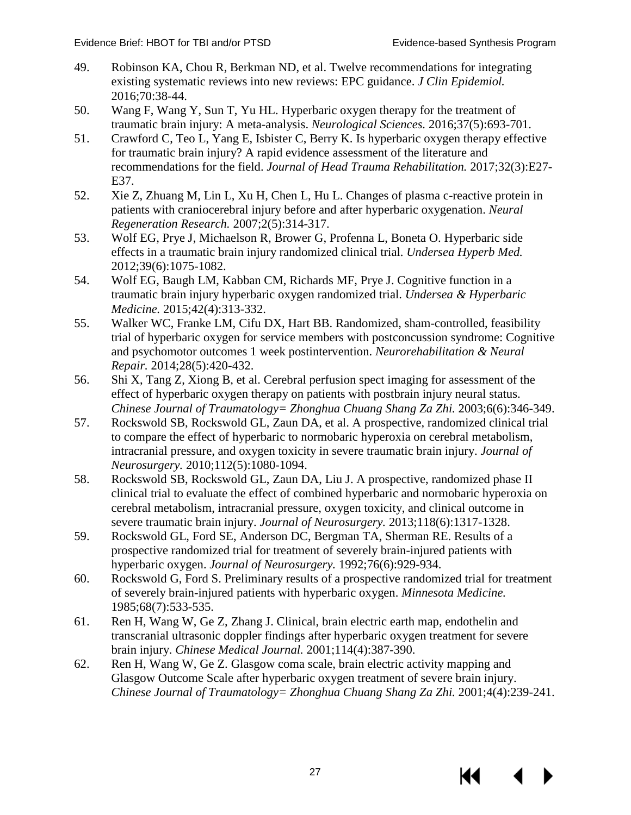- <span id="page-30-6"></span><span id="page-30-0"></span>49. Robinson KA, Chou R, Berkman ND, et al. Twelve recommendations for integrating existing systematic reviews into new reviews: EPC guidance. *J Clin Epidemiol.*  2016;70:38-44.
- <span id="page-30-7"></span><span id="page-30-1"></span>50. Wang F, Wang Y, Sun T, Yu HL. Hyperbaric oxygen therapy for the treatment of traumatic brain injury: A meta-analysis. *Neurological Sciences.* 2016;37(5):693-701.
- <span id="page-30-2"></span>51. Crawford C, Teo L, Yang E, Isbister C, Berry K. Is hyperbaric oxygen therapy effective for traumatic brain injury? A rapid evidence assessment of the literature and recommendations for the field. *Journal of Head Trauma Rehabilitation.* 2017;32(3):E27- E37.
- <span id="page-30-3"></span>52. Xie Z, Zhuang M, Lin L, Xu H, Chen L, Hu L. Changes of plasma c-reactive protein in patients with craniocerebral injury before and after hyperbaric oxygenation. *Neural Regeneration Research.* 2007;2(5):314-317.
- <span id="page-30-4"></span>53. Wolf EG, Prye J, Michaelson R, Brower G, Profenna L, Boneta O. Hyperbaric side effects in a traumatic brain injury randomized clinical trial. *Undersea Hyperb Med.*  2012;39(6):1075-1082.
- <span id="page-30-8"></span>54. Wolf EG, Baugh LM, Kabban CM, Richards MF, Prye J. Cognitive function in a traumatic brain injury hyperbaric oxygen randomized trial. *Undersea & Hyperbaric Medicine.* 2015;42(4):313-332.
- <span id="page-30-10"></span>55. Walker WC, Franke LM, Cifu DX, Hart BB. Randomized, sham-controlled, feasibility trial of hyperbaric oxygen for service members with postconcussion syndrome: Cognitive and psychomotor outcomes 1 week postintervention. *Neurorehabilitation & Neural Repair.* 2014;28(5):420-432.
- 56. Shi X, Tang Z, Xiong B, et al. Cerebral perfusion spect imaging for assessment of the effect of hyperbaric oxygen therapy on patients with postbrain injury neural status. *Chinese Journal of Traumatology= Zhonghua Chuang Shang Za Zhi.* 2003;6(6):346-349.
- <span id="page-30-5"></span>57. Rockswold SB, Rockswold GL, Zaun DA, et al. A prospective, randomized clinical trial to compare the effect of hyperbaric to normobaric hyperoxia on cerebral metabolism, intracranial pressure, and oxygen toxicity in severe traumatic brain injury. *Journal of Neurosurgery.* 2010;112(5):1080-1094.
- 58. Rockswold SB, Rockswold GL, Zaun DA, Liu J. A prospective, randomized phase II clinical trial to evaluate the effect of combined hyperbaric and normobaric hyperoxia on cerebral metabolism, intracranial pressure, oxygen toxicity, and clinical outcome in severe traumatic brain injury. *Journal of Neurosurgery.* 2013;118(6):1317-1328.
- <span id="page-30-9"></span>59. Rockswold GL, Ford SE, Anderson DC, Bergman TA, Sherman RE. Results of a prospective randomized trial for treatment of severely brain-injured patients with hyperbaric oxygen. *Journal of Neurosurgery.* 1992;76(6):929-934.
- 60. Rockswold G, Ford S. Preliminary results of a prospective randomized trial for treatment of severely brain-injured patients with hyperbaric oxygen. *Minnesota Medicine.*  1985;68(7):533-535.
- 61. Ren H, Wang W, Ge Z, Zhang J. Clinical, brain electric earth map, endothelin and transcranial ultrasonic doppler findings after hyperbaric oxygen treatment for severe brain injury. *Chinese Medical Journal.* 2001;114(4):387-390.
- 62. Ren H, Wang W, Ge Z. Glasgow coma scale, brain electric activity mapping and Glasgow Outcome Scale after hyperbaric oxygen treatment of severe brain injury. *Chinese Journal of Traumatology= Zhonghua Chuang Shang Za Zhi.* 2001;4(4):239-241.